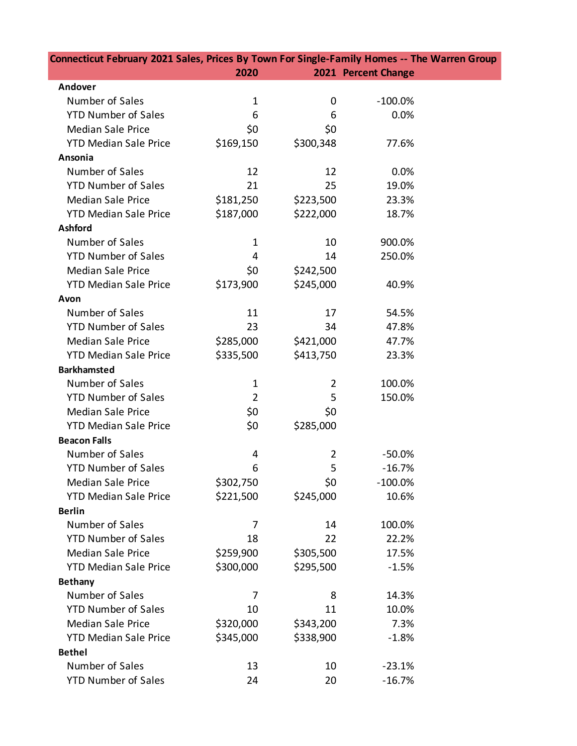| Connecticut February 2021 Sales, Prices By Town For Single-Family Homes -- The Warren Group |                |                |                     |  |
|---------------------------------------------------------------------------------------------|----------------|----------------|---------------------|--|
|                                                                                             | 2020           |                | 2021 Percent Change |  |
| Andover                                                                                     |                |                |                     |  |
| Number of Sales                                                                             | $\mathbf 1$    | 0              | $-100.0%$           |  |
| <b>YTD Number of Sales</b>                                                                  | 6              | 6              | 0.0%                |  |
| <b>Median Sale Price</b>                                                                    | \$0            | \$0            |                     |  |
| <b>YTD Median Sale Price</b>                                                                | \$169,150      | \$300,348      | 77.6%               |  |
| Ansonia                                                                                     |                |                |                     |  |
| Number of Sales                                                                             | 12             | 12             | 0.0%                |  |
| <b>YTD Number of Sales</b>                                                                  | 21             | 25             | 19.0%               |  |
| <b>Median Sale Price</b>                                                                    | \$181,250      | \$223,500      | 23.3%               |  |
| <b>YTD Median Sale Price</b>                                                                | \$187,000      | \$222,000      | 18.7%               |  |
| <b>Ashford</b>                                                                              |                |                |                     |  |
| Number of Sales                                                                             | 1              | 10             | 900.0%              |  |
| <b>YTD Number of Sales</b>                                                                  | 4              | 14             | 250.0%              |  |
| <b>Median Sale Price</b>                                                                    | \$0            | \$242,500      |                     |  |
| <b>YTD Median Sale Price</b>                                                                | \$173,900      | \$245,000      | 40.9%               |  |
| Avon                                                                                        |                |                |                     |  |
| Number of Sales                                                                             | 11             | 17             | 54.5%               |  |
| <b>YTD Number of Sales</b>                                                                  | 23             | 34             | 47.8%               |  |
| <b>Median Sale Price</b>                                                                    | \$285,000      | \$421,000      | 47.7%               |  |
| <b>YTD Median Sale Price</b>                                                                | \$335,500      | \$413,750      | 23.3%               |  |
| <b>Barkhamsted</b>                                                                          |                |                |                     |  |
| Number of Sales                                                                             | $\mathbf{1}$   | $\overline{2}$ | 100.0%              |  |
| <b>YTD Number of Sales</b>                                                                  | $\overline{2}$ | 5              | 150.0%              |  |
| <b>Median Sale Price</b>                                                                    | \$0            | \$0            |                     |  |
| <b>YTD Median Sale Price</b>                                                                | \$0            | \$285,000      |                     |  |
| <b>Beacon Falls</b>                                                                         |                |                |                     |  |
| Number of Sales                                                                             | 4              | $\overline{2}$ | $-50.0%$            |  |
| <b>YTD Number of Sales</b>                                                                  | 6              | 5              | $-16.7%$            |  |
| <b>Median Sale Price</b>                                                                    | \$302,750      | \$0            | $-100.0%$           |  |
| <b>YTD Median Sale Price</b>                                                                | \$221,500      | \$245,000      | 10.6%               |  |
| <b>Berlin</b>                                                                               |                |                |                     |  |
| Number of Sales                                                                             | 7              | 14             | 100.0%              |  |
| <b>YTD Number of Sales</b>                                                                  | 18             | 22             | 22.2%               |  |
| <b>Median Sale Price</b>                                                                    | \$259,900      | \$305,500      | 17.5%               |  |
| <b>YTD Median Sale Price</b>                                                                | \$300,000      | \$295,500      | $-1.5%$             |  |
| <b>Bethany</b>                                                                              |                |                |                     |  |
| Number of Sales                                                                             | 7              | 8              | 14.3%               |  |
| <b>YTD Number of Sales</b>                                                                  | 10             | 11             | 10.0%               |  |
| <b>Median Sale Price</b>                                                                    | \$320,000      | \$343,200      | 7.3%                |  |
| <b>YTD Median Sale Price</b>                                                                | \$345,000      | \$338,900      | $-1.8%$             |  |
| <b>Bethel</b>                                                                               |                |                |                     |  |
| Number of Sales                                                                             | 13             | 10             | $-23.1%$            |  |
| <b>YTD Number of Sales</b>                                                                  | 24             | 20             | $-16.7%$            |  |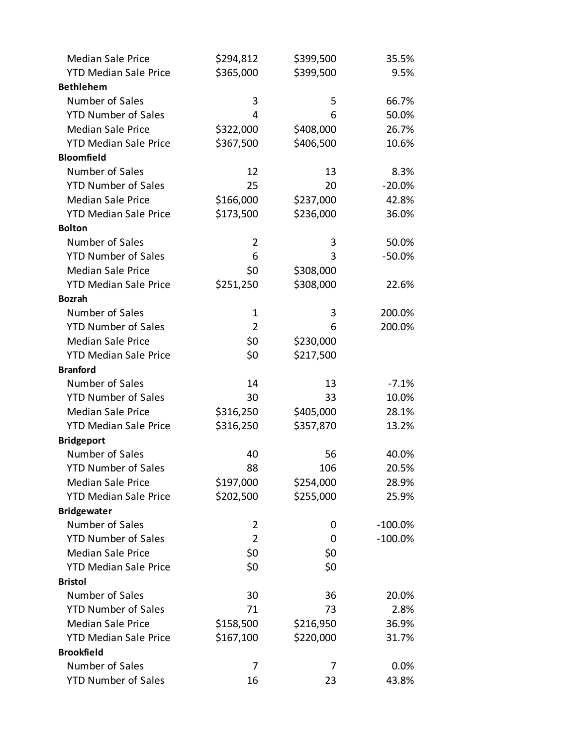| <b>Median Sale Price</b>     | \$294,812      | \$399,500 | 35.5%      |
|------------------------------|----------------|-----------|------------|
| <b>YTD Median Sale Price</b> | \$365,000      | \$399,500 | 9.5%       |
| <b>Bethlehem</b>             |                |           |            |
| Number of Sales              | 3              | 5         | 66.7%      |
| <b>YTD Number of Sales</b>   | 4              | 6         | 50.0%      |
| <b>Median Sale Price</b>     | \$322,000      | \$408,000 | 26.7%      |
| <b>YTD Median Sale Price</b> | \$367,500      | \$406,500 | 10.6%      |
| <b>Bloomfield</b>            |                |           |            |
| Number of Sales              | 12             | 13        | 8.3%       |
| <b>YTD Number of Sales</b>   | 25             | 20        | $-20.0%$   |
| <b>Median Sale Price</b>     | \$166,000      | \$237,000 | 42.8%      |
| <b>YTD Median Sale Price</b> | \$173,500      | \$236,000 | 36.0%      |
| <b>Bolton</b>                |                |           |            |
| Number of Sales              | 2              | 3         | 50.0%      |
| <b>YTD Number of Sales</b>   | 6              | 3         | $-50.0%$   |
| <b>Median Sale Price</b>     | \$0            | \$308,000 |            |
| <b>YTD Median Sale Price</b> | \$251,250      | \$308,000 | 22.6%      |
| <b>Bozrah</b>                |                |           |            |
| Number of Sales              | $\mathbf 1$    | 3         | 200.0%     |
| <b>YTD Number of Sales</b>   | $\overline{2}$ | 6         | 200.0%     |
| <b>Median Sale Price</b>     | \$0            | \$230,000 |            |
| <b>YTD Median Sale Price</b> | \$0            | \$217,500 |            |
| <b>Branford</b>              |                |           |            |
| Number of Sales              | 14             | 13        | $-7.1%$    |
| <b>YTD Number of Sales</b>   | 30             | 33        | 10.0%      |
| <b>Median Sale Price</b>     | \$316,250      | \$405,000 | 28.1%      |
| <b>YTD Median Sale Price</b> | \$316,250      | \$357,870 | 13.2%      |
| <b>Bridgeport</b>            |                |           |            |
| Number of Sales              | 40             | 56        | 40.0%      |
| <b>YTD Number of Sales</b>   | 88             | 106       | 20.5%      |
| <b>Median Sale Price</b>     | \$197,000      | \$254,000 | 28.9%      |
| <b>YTD Median Sale Price</b> | \$202,500      | \$255,000 | 25.9%      |
| <b>Bridgewater</b>           |                |           |            |
| Number of Sales              | 2              | 0         | $-100.0\%$ |
| <b>YTD Number of Sales</b>   | $\overline{2}$ | 0         | $-100.0\%$ |
| <b>Median Sale Price</b>     | \$0            | \$0       |            |
| <b>YTD Median Sale Price</b> | \$0            | \$0       |            |
| <b>Bristol</b>               |                |           |            |
| Number of Sales              | 30             | 36        | 20.0%      |
| <b>YTD Number of Sales</b>   | 71             | 73        | 2.8%       |
| <b>Median Sale Price</b>     | \$158,500      | \$216,950 | 36.9%      |
| <b>YTD Median Sale Price</b> | \$167,100      | \$220,000 | 31.7%      |
| <b>Brookfield</b>            |                |           |            |
| Number of Sales              | 7              | 7         | 0.0%       |
| <b>YTD Number of Sales</b>   | 16             | 23        | 43.8%      |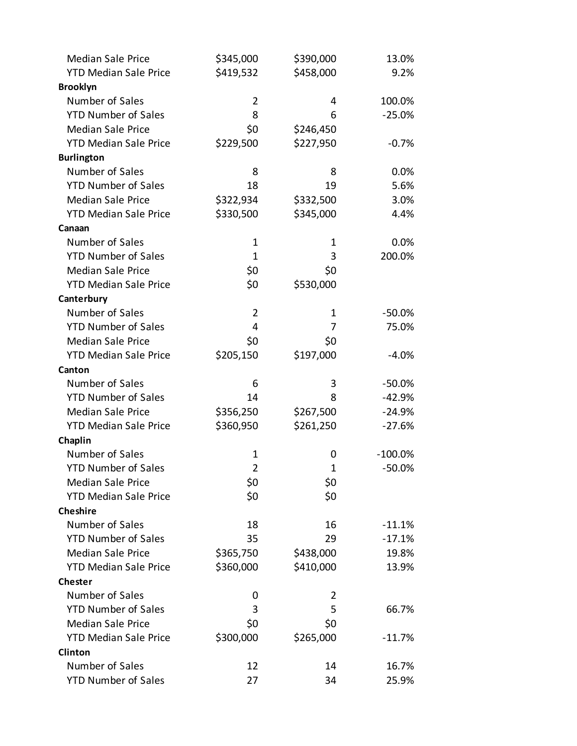| <b>Median Sale Price</b>     | \$345,000      | \$390,000    | 13.0%      |
|------------------------------|----------------|--------------|------------|
| <b>YTD Median Sale Price</b> | \$419,532      | \$458,000    | 9.2%       |
| <b>Brooklyn</b>              |                |              |            |
| Number of Sales              | $\overline{2}$ | 4            | 100.0%     |
| <b>YTD Number of Sales</b>   | 8              | 6            | $-25.0%$   |
| <b>Median Sale Price</b>     | \$0            | \$246,450    |            |
| <b>YTD Median Sale Price</b> | \$229,500      | \$227,950    | $-0.7%$    |
| <b>Burlington</b>            |                |              |            |
| Number of Sales              | 8              | 8            | 0.0%       |
| <b>YTD Number of Sales</b>   | 18             | 19           | 5.6%       |
| <b>Median Sale Price</b>     | \$322,934      | \$332,500    | 3.0%       |
| <b>YTD Median Sale Price</b> | \$330,500      | \$345,000    | 4.4%       |
| Canaan                       |                |              |            |
| Number of Sales              | $\mathbf 1$    | 1            | 0.0%       |
| <b>YTD Number of Sales</b>   | $\mathbf 1$    | 3            | 200.0%     |
| <b>Median Sale Price</b>     | \$0            | \$0          |            |
| <b>YTD Median Sale Price</b> | \$0            | \$530,000    |            |
| Canterbury                   |                |              |            |
| Number of Sales              | $\overline{2}$ | 1            | $-50.0%$   |
| <b>YTD Number of Sales</b>   | 4              | 7            | 75.0%      |
| <b>Median Sale Price</b>     | \$0            | \$0          |            |
| <b>YTD Median Sale Price</b> | \$205,150      | \$197,000    | $-4.0%$    |
| Canton                       |                |              |            |
| Number of Sales              | 6              | 3            | $-50.0%$   |
| <b>YTD Number of Sales</b>   | 14             | 8            | $-42.9%$   |
| <b>Median Sale Price</b>     | \$356,250      | \$267,500    | $-24.9%$   |
| <b>YTD Median Sale Price</b> | \$360,950      | \$261,250    | $-27.6%$   |
| Chaplin                      |                |              |            |
| Number of Sales              | 1              | 0            | $-100.0\%$ |
| <b>YTD Number of Sales</b>   | $\overline{2}$ | $\mathbf{1}$ | $-50.0%$   |
| <b>Median Sale Price</b>     | \$0            | \$0          |            |
| <b>YTD Median Sale Price</b> | \$0            | \$0          |            |
| <b>Cheshire</b>              |                |              |            |
| Number of Sales              | 18             | 16           | $-11.1%$   |
| <b>YTD Number of Sales</b>   | 35             | 29           | $-17.1%$   |
| <b>Median Sale Price</b>     | \$365,750      | \$438,000    | 19.8%      |
| <b>YTD Median Sale Price</b> | \$360,000      | \$410,000    | 13.9%      |
| <b>Chester</b>               |                |              |            |
| Number of Sales              | 0              | 2            |            |
| <b>YTD Number of Sales</b>   | 3              | 5            | 66.7%      |
| <b>Median Sale Price</b>     | \$0            | \$0          |            |
| <b>YTD Median Sale Price</b> | \$300,000      | \$265,000    | $-11.7%$   |
| <b>Clinton</b>               |                |              |            |
| Number of Sales              | 12             | 14           | 16.7%      |
| <b>YTD Number of Sales</b>   | 27             | 34           | 25.9%      |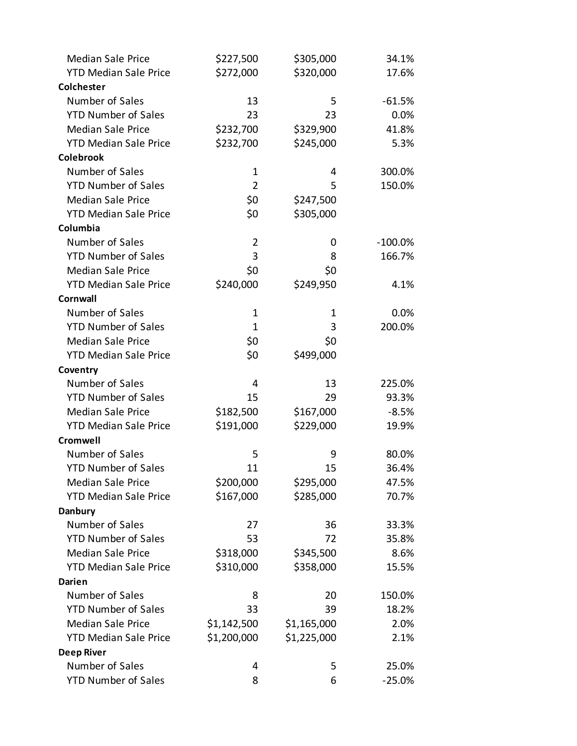| <b>Median Sale Price</b>     | \$227,500      | \$305,000   | 34.1%      |
|------------------------------|----------------|-------------|------------|
| <b>YTD Median Sale Price</b> | \$272,000      | \$320,000   | 17.6%      |
| <b>Colchester</b>            |                |             |            |
| Number of Sales              | 13             | 5           | $-61.5%$   |
| <b>YTD Number of Sales</b>   | 23             | 23          | 0.0%       |
| <b>Median Sale Price</b>     | \$232,700      | \$329,900   | 41.8%      |
| <b>YTD Median Sale Price</b> | \$232,700      | \$245,000   | 5.3%       |
| <b>Colebrook</b>             |                |             |            |
| Number of Sales              | 1              | 4           | 300.0%     |
| <b>YTD Number of Sales</b>   | $\overline{2}$ | 5           | 150.0%     |
| <b>Median Sale Price</b>     | \$0            | \$247,500   |            |
| <b>YTD Median Sale Price</b> | \$0            | \$305,000   |            |
| Columbia                     |                |             |            |
| Number of Sales              | $\overline{2}$ | 0           | $-100.0\%$ |
| <b>YTD Number of Sales</b>   | 3              | 8           | 166.7%     |
| <b>Median Sale Price</b>     | \$0            | \$0         |            |
| <b>YTD Median Sale Price</b> | \$240,000      | \$249,950   | 4.1%       |
| Cornwall                     |                |             |            |
| Number of Sales              | $\mathbf 1$    | 1           | 0.0%       |
| <b>YTD Number of Sales</b>   | $\mathbf{1}$   | 3           | 200.0%     |
| <b>Median Sale Price</b>     | \$0            | \$0         |            |
| <b>YTD Median Sale Price</b> | \$0            | \$499,000   |            |
| Coventry                     |                |             |            |
| Number of Sales              | 4              | 13          | 225.0%     |
| <b>YTD Number of Sales</b>   | 15             | 29          | 93.3%      |
| <b>Median Sale Price</b>     | \$182,500      | \$167,000   | $-8.5%$    |
| <b>YTD Median Sale Price</b> | \$191,000      | \$229,000   | 19.9%      |
| <b>Cromwell</b>              |                |             |            |
| Number of Sales              | 5              | 9           | 80.0%      |
| <b>YTD Number of Sales</b>   | 11             | 15          | 36.4%      |
| <b>Median Sale Price</b>     | \$200,000      | \$295,000   | 47.5%      |
| <b>YTD Median Sale Price</b> | \$167,000      | \$285,000   | 70.7%      |
| <b>Danbury</b>               |                |             |            |
| Number of Sales              | 27             | 36          | 33.3%      |
| <b>YTD Number of Sales</b>   | 53             | 72          | 35.8%      |
| <b>Median Sale Price</b>     | \$318,000      | \$345,500   | 8.6%       |
| <b>YTD Median Sale Price</b> | \$310,000      | \$358,000   | 15.5%      |
| Darien                       |                |             |            |
| Number of Sales              | 8              | 20          | 150.0%     |
| <b>YTD Number of Sales</b>   | 33             | 39          | 18.2%      |
| <b>Median Sale Price</b>     | \$1,142,500    | \$1,165,000 | 2.0%       |
| <b>YTD Median Sale Price</b> | \$1,200,000    | \$1,225,000 | 2.1%       |
| <b>Deep River</b>            |                |             |            |
| Number of Sales              | 4              | 5           | 25.0%      |
| <b>YTD Number of Sales</b>   | 8              | 6           | $-25.0%$   |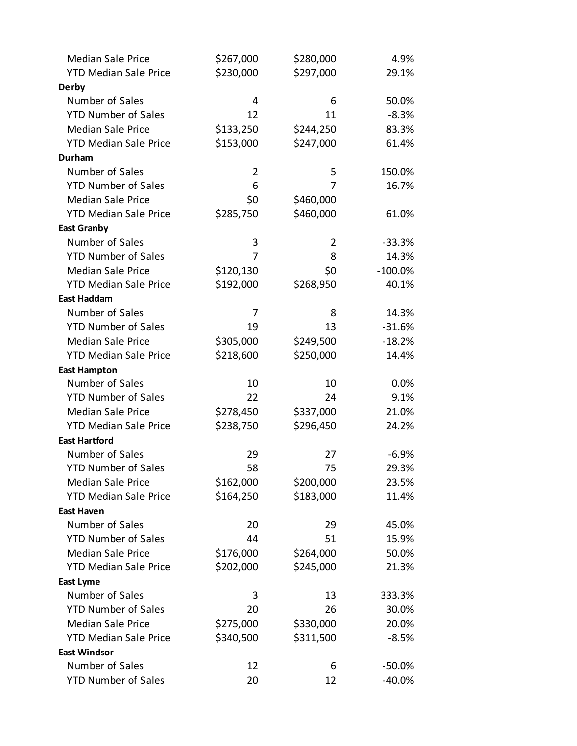| <b>Median Sale Price</b>     | \$267,000      | \$280,000 | 4.9%       |
|------------------------------|----------------|-----------|------------|
| <b>YTD Median Sale Price</b> | \$230,000      | \$297,000 | 29.1%      |
| <b>Derby</b>                 |                |           |            |
| Number of Sales              | 4              | 6         | 50.0%      |
| <b>YTD Number of Sales</b>   | 12             | 11        | $-8.3%$    |
| <b>Median Sale Price</b>     | \$133,250      | \$244,250 | 83.3%      |
| <b>YTD Median Sale Price</b> | \$153,000      | \$247,000 | 61.4%      |
| <b>Durham</b>                |                |           |            |
| Number of Sales              | $\overline{2}$ | 5         | 150.0%     |
| <b>YTD Number of Sales</b>   | 6              | 7         | 16.7%      |
| <b>Median Sale Price</b>     | \$0            | \$460,000 |            |
| <b>YTD Median Sale Price</b> | \$285,750      | \$460,000 | 61.0%      |
| <b>East Granby</b>           |                |           |            |
| Number of Sales              | 3              | 2         | $-33.3%$   |
| <b>YTD Number of Sales</b>   | 7              | 8         | 14.3%      |
| <b>Median Sale Price</b>     | \$120,130      | \$0       | $-100.0\%$ |
| <b>YTD Median Sale Price</b> | \$192,000      | \$268,950 | 40.1%      |
| <b>East Haddam</b>           |                |           |            |
| Number of Sales              | 7              | 8         | 14.3%      |
| <b>YTD Number of Sales</b>   | 19             | 13        | $-31.6%$   |
| <b>Median Sale Price</b>     | \$305,000      | \$249,500 | $-18.2%$   |
| <b>YTD Median Sale Price</b> | \$218,600      | \$250,000 | 14.4%      |
| <b>East Hampton</b>          |                |           |            |
| Number of Sales              | 10             | 10        | 0.0%       |
| <b>YTD Number of Sales</b>   | 22             | 24        | 9.1%       |
| <b>Median Sale Price</b>     | \$278,450      | \$337,000 | 21.0%      |
| <b>YTD Median Sale Price</b> | \$238,750      | \$296,450 | 24.2%      |
| <b>East Hartford</b>         |                |           |            |
| Number of Sales              | 29             | 27        | $-6.9%$    |
| <b>YTD Number of Sales</b>   | 58             | 75        | 29.3%      |
| <b>Median Sale Price</b>     | \$162,000      | \$200,000 | 23.5%      |
| <b>YTD Median Sale Price</b> | \$164,250      | \$183,000 | 11.4%      |
| <b>East Haven</b>            |                |           |            |
| Number of Sales              | 20             | 29        | 45.0%      |
| <b>YTD Number of Sales</b>   | 44             | 51        | 15.9%      |
| <b>Median Sale Price</b>     | \$176,000      | \$264,000 | 50.0%      |
| <b>YTD Median Sale Price</b> | \$202,000      | \$245,000 | 21.3%      |
| <b>East Lyme</b>             |                |           |            |
| Number of Sales              | 3              | 13        | 333.3%     |
| <b>YTD Number of Sales</b>   | 20             | 26        | 30.0%      |
| <b>Median Sale Price</b>     | \$275,000      | \$330,000 | 20.0%      |
| <b>YTD Median Sale Price</b> | \$340,500      | \$311,500 | $-8.5%$    |
| <b>East Windsor</b>          |                |           |            |
| Number of Sales              | 12             | 6         | $-50.0\%$  |
| <b>YTD Number of Sales</b>   | 20             | 12        | $-40.0%$   |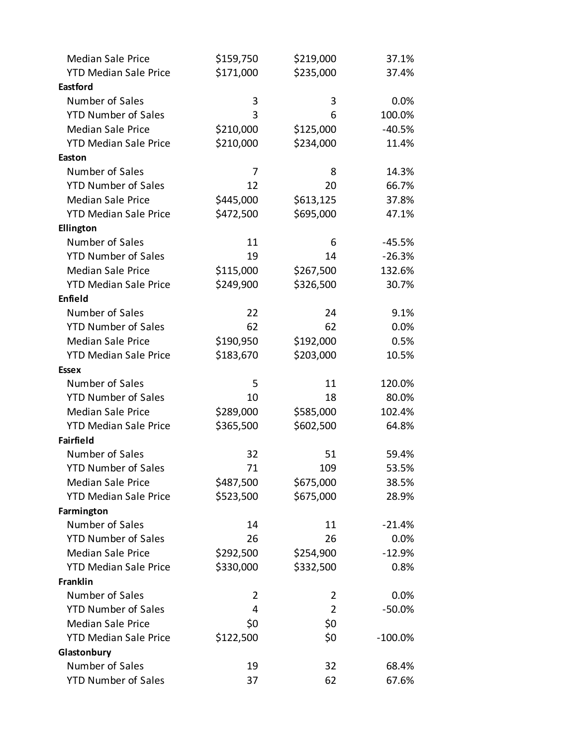| <b>Median Sale Price</b>     | \$159,750 | \$219,000      | 37.1%      |
|------------------------------|-----------|----------------|------------|
| <b>YTD Median Sale Price</b> | \$171,000 | \$235,000      | 37.4%      |
| <b>Eastford</b>              |           |                |            |
| Number of Sales              | 3         | 3              | 0.0%       |
| <b>YTD Number of Sales</b>   | 3         | 6              | 100.0%     |
| <b>Median Sale Price</b>     | \$210,000 | \$125,000      | $-40.5%$   |
| <b>YTD Median Sale Price</b> | \$210,000 | \$234,000      | 11.4%      |
| Easton                       |           |                |            |
| Number of Sales              | 7         | 8              | 14.3%      |
| <b>YTD Number of Sales</b>   | 12        | 20             | 66.7%      |
| <b>Median Sale Price</b>     | \$445,000 | \$613,125      | 37.8%      |
| <b>YTD Median Sale Price</b> | \$472,500 | \$695,000      | 47.1%      |
| Ellington                    |           |                |            |
| Number of Sales              | 11        | 6              | $-45.5%$   |
| <b>YTD Number of Sales</b>   | 19        | 14             | $-26.3%$   |
| <b>Median Sale Price</b>     | \$115,000 | \$267,500      | 132.6%     |
| <b>YTD Median Sale Price</b> | \$249,900 | \$326,500      | 30.7%      |
| Enfield                      |           |                |            |
| Number of Sales              | 22        | 24             | 9.1%       |
| <b>YTD Number of Sales</b>   | 62        | 62             | 0.0%       |
| <b>Median Sale Price</b>     | \$190,950 | \$192,000      | 0.5%       |
| <b>YTD Median Sale Price</b> | \$183,670 | \$203,000      | 10.5%      |
| <b>Essex</b>                 |           |                |            |
| Number of Sales              | 5         | 11             | 120.0%     |
| <b>YTD Number of Sales</b>   | 10        | 18             | 80.0%      |
| <b>Median Sale Price</b>     | \$289,000 | \$585,000      | 102.4%     |
| <b>YTD Median Sale Price</b> | \$365,500 | \$602,500      | 64.8%      |
| <b>Fairfield</b>             |           |                |            |
| Number of Sales              | 32        | 51             | 59.4%      |
| <b>YTD Number of Sales</b>   | 71        | 109            | 53.5%      |
| <b>Median Sale Price</b>     | \$487,500 | \$675,000      | 38.5%      |
| <b>YTD Median Sale Price</b> | \$523,500 | \$675,000      | 28.9%      |
| Farmington                   |           |                |            |
| Number of Sales              | 14        | 11             | $-21.4%$   |
| <b>YTD Number of Sales</b>   | 26        | 26             | 0.0%       |
| <b>Median Sale Price</b>     | \$292,500 | \$254,900      | $-12.9%$   |
| <b>YTD Median Sale Price</b> | \$330,000 | \$332,500      | 0.8%       |
| <b>Franklin</b>              |           |                |            |
| Number of Sales              | 2         | 2              | $0.0\%$    |
| <b>YTD Number of Sales</b>   | 4         | $\overline{2}$ | $-50.0%$   |
| <b>Median Sale Price</b>     | \$0       | \$0            |            |
| <b>YTD Median Sale Price</b> | \$122,500 | \$0            | $-100.0\%$ |
| Glastonbury                  |           |                |            |
| Number of Sales              | 19        | 32             | 68.4%      |
| <b>YTD Number of Sales</b>   | 37        | 62             | 67.6%      |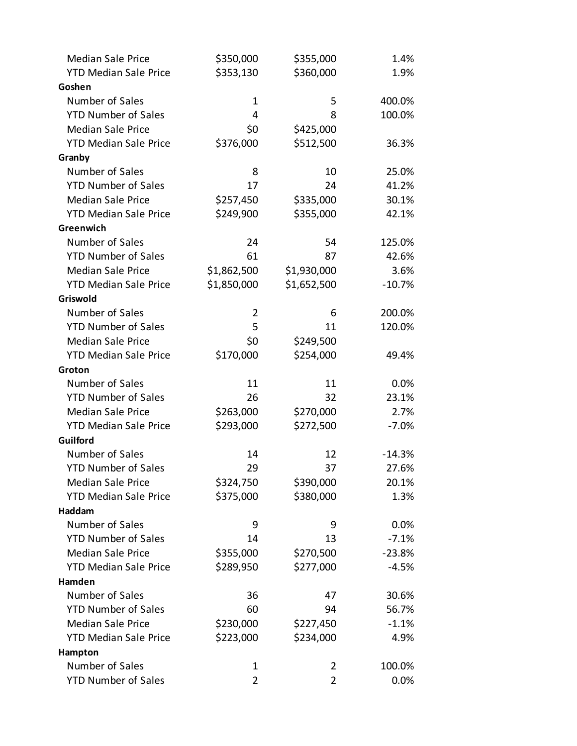| <b>Median Sale Price</b>     | \$350,000   | \$355,000      | 1.4%     |
|------------------------------|-------------|----------------|----------|
| <b>YTD Median Sale Price</b> | \$353,130   | \$360,000      | 1.9%     |
| Goshen                       |             |                |          |
| Number of Sales              | 1           | 5              | 400.0%   |
| <b>YTD Number of Sales</b>   | 4           | 8              | 100.0%   |
| <b>Median Sale Price</b>     | \$0         | \$425,000      |          |
| <b>YTD Median Sale Price</b> | \$376,000   | \$512,500      | 36.3%    |
| Granby                       |             |                |          |
| Number of Sales              | 8           | 10             | 25.0%    |
| <b>YTD Number of Sales</b>   | 17          | 24             | 41.2%    |
| <b>Median Sale Price</b>     | \$257,450   | \$335,000      | 30.1%    |
| <b>YTD Median Sale Price</b> | \$249,900   | \$355,000      | 42.1%    |
| Greenwich                    |             |                |          |
| Number of Sales              | 24          | 54             | 125.0%   |
| <b>YTD Number of Sales</b>   | 61          | 87             | 42.6%    |
| <b>Median Sale Price</b>     | \$1,862,500 | \$1,930,000    | 3.6%     |
| <b>YTD Median Sale Price</b> | \$1,850,000 | \$1,652,500    | $-10.7%$ |
| Griswold                     |             |                |          |
| Number of Sales              | 2           | 6              | 200.0%   |
| <b>YTD Number of Sales</b>   | 5           | 11             | 120.0%   |
| <b>Median Sale Price</b>     | \$0         | \$249,500      |          |
| <b>YTD Median Sale Price</b> | \$170,000   | \$254,000      | 49.4%    |
| Groton                       |             |                |          |
| Number of Sales              | 11          | 11             | $0.0\%$  |
| <b>YTD Number of Sales</b>   | 26          | 32             | 23.1%    |
| <b>Median Sale Price</b>     | \$263,000   | \$270,000      | 2.7%     |
| <b>YTD Median Sale Price</b> | \$293,000   | \$272,500      | $-7.0%$  |
| Guilford                     |             |                |          |
| Number of Sales              | 14          | 12             | $-14.3%$ |
| <b>YTD Number of Sales</b>   | 29          | 37             | 27.6%    |
| <b>Median Sale Price</b>     | \$324,750   | \$390,000      | 20.1%    |
| <b>YTD Median Sale Price</b> | \$375,000   | \$380,000      | 1.3%     |
| Haddam                       |             |                |          |
| Number of Sales              | 9           | 9              | $0.0\%$  |
| <b>YTD Number of Sales</b>   | 14          | 13             | $-7.1%$  |
| <b>Median Sale Price</b>     | \$355,000   | \$270,500      | $-23.8%$ |
| <b>YTD Median Sale Price</b> | \$289,950   | \$277,000      | $-4.5%$  |
| Hamden                       |             |                |          |
| Number of Sales              | 36          | 47             | 30.6%    |
| <b>YTD Number of Sales</b>   | 60          | 94             | 56.7%    |
| <b>Median Sale Price</b>     | \$230,000   | \$227,450      | $-1.1%$  |
| <b>YTD Median Sale Price</b> | \$223,000   | \$234,000      | 4.9%     |
| Hampton                      |             |                |          |
| Number of Sales              | 1           | $\overline{2}$ | 100.0%   |
| <b>YTD Number of Sales</b>   | 2           | 2              | 0.0%     |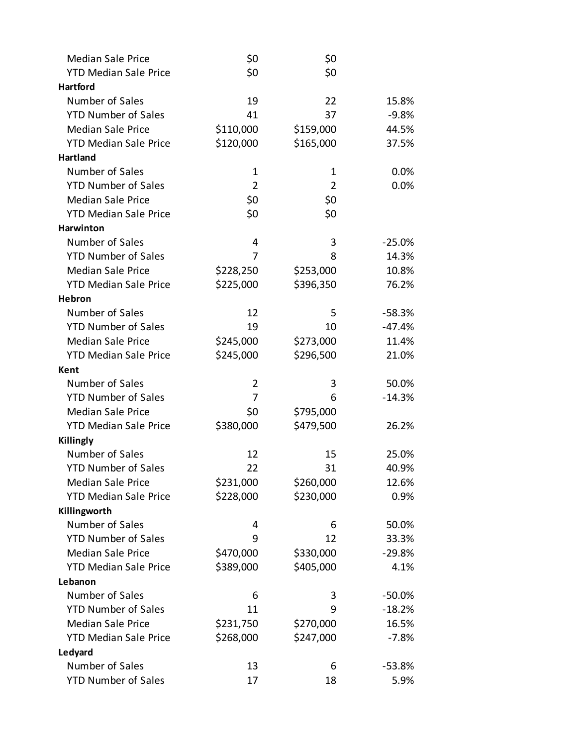| <b>Median Sale Price</b>     | \$0            | \$0            |          |
|------------------------------|----------------|----------------|----------|
| <b>YTD Median Sale Price</b> | \$0            | \$0            |          |
| <b>Hartford</b>              |                |                |          |
| Number of Sales              | 19             | 22             | 15.8%    |
| <b>YTD Number of Sales</b>   | 41             | 37             | $-9.8%$  |
| <b>Median Sale Price</b>     | \$110,000      | \$159,000      | 44.5%    |
| <b>YTD Median Sale Price</b> | \$120,000      | \$165,000      | 37.5%    |
| <b>Hartland</b>              |                |                |          |
| Number of Sales              | 1              | 1              | 0.0%     |
| <b>YTD Number of Sales</b>   | $\overline{2}$ | $\overline{2}$ | 0.0%     |
| <b>Median Sale Price</b>     | \$0            | \$0            |          |
| <b>YTD Median Sale Price</b> | \$0            | \$0            |          |
| Harwinton                    |                |                |          |
| Number of Sales              | 4              | 3              | $-25.0%$ |
| <b>YTD Number of Sales</b>   | 7              | 8              | 14.3%    |
| <b>Median Sale Price</b>     | \$228,250      | \$253,000      | 10.8%    |
| <b>YTD Median Sale Price</b> | \$225,000      | \$396,350      | 76.2%    |
| Hebron                       |                |                |          |
| Number of Sales              | 12             | 5              | $-58.3%$ |
| <b>YTD Number of Sales</b>   | 19             | 10             | $-47.4%$ |
| <b>Median Sale Price</b>     | \$245,000      | \$273,000      | 11.4%    |
| <b>YTD Median Sale Price</b> | \$245,000      | \$296,500      | 21.0%    |
| Kent                         |                |                |          |
| Number of Sales              | 2              | 3              | 50.0%    |
| <b>YTD Number of Sales</b>   | 7              | 6              | $-14.3%$ |
| <b>Median Sale Price</b>     | \$0            | \$795,000      |          |
| <b>YTD Median Sale Price</b> | \$380,000      | \$479,500      | 26.2%    |
| Killingly                    |                |                |          |
| Number of Sales              | 12             | 15             | 25.0%    |
| <b>YTD Number of Sales</b>   | 22             | 31             | 40.9%    |
| <b>Median Sale Price</b>     | \$231,000      | \$260,000      | 12.6%    |
| <b>YTD Median Sale Price</b> | \$228,000      | \$230,000      | 0.9%     |
| Killingworth                 |                |                |          |
| Number of Sales              | 4              | 6              | 50.0%    |
| <b>YTD Number of Sales</b>   | 9              | 12             | 33.3%    |
| <b>Median Sale Price</b>     | \$470,000      | \$330,000      | $-29.8%$ |
| <b>YTD Median Sale Price</b> | \$389,000      | \$405,000      | 4.1%     |
| Lebanon                      |                |                |          |
| Number of Sales              | 6              | 3              | $-50.0%$ |
| <b>YTD Number of Sales</b>   | 11             | 9              | $-18.2%$ |
| <b>Median Sale Price</b>     | \$231,750      | \$270,000      | 16.5%    |
| <b>YTD Median Sale Price</b> | \$268,000      | \$247,000      | $-7.8%$  |
| Ledyard                      |                |                |          |
| Number of Sales              | 13             | 6              | $-53.8%$ |
| <b>YTD Number of Sales</b>   | 17             | 18             | 5.9%     |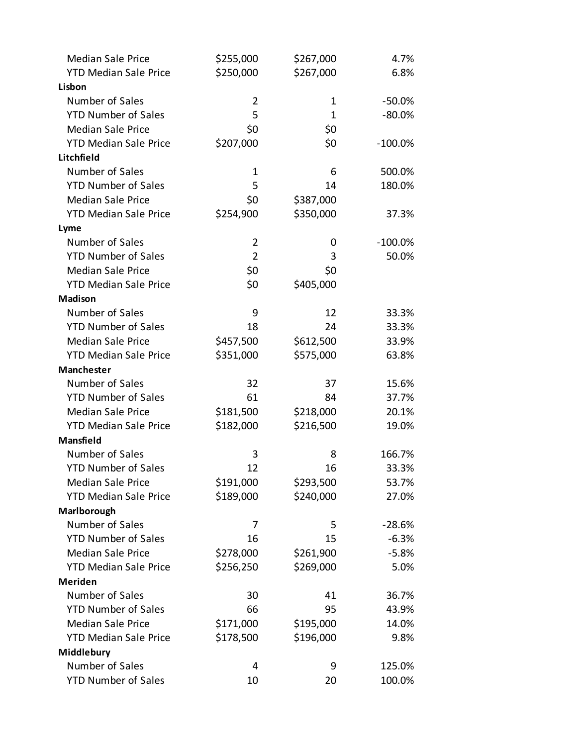| <b>Median Sale Price</b>     | \$255,000      | \$267,000 | 4.7%       |
|------------------------------|----------------|-----------|------------|
| <b>YTD Median Sale Price</b> | \$250,000      | \$267,000 | 6.8%       |
| Lisbon                       |                |           |            |
| Number of Sales              | 2              | 1         | $-50.0%$   |
| <b>YTD Number of Sales</b>   | 5              | 1         | $-80.0%$   |
| <b>Median Sale Price</b>     | \$0            | \$0       |            |
| <b>YTD Median Sale Price</b> | \$207,000      | \$0       | $-100.0\%$ |
| Litchfield                   |                |           |            |
| Number of Sales              | 1              | 6         | 500.0%     |
| <b>YTD Number of Sales</b>   | 5              | 14        | 180.0%     |
| <b>Median Sale Price</b>     | \$0            | \$387,000 |            |
| <b>YTD Median Sale Price</b> | \$254,900      | \$350,000 | 37.3%      |
| Lyme                         |                |           |            |
| Number of Sales              | $\overline{2}$ | 0         | $-100.0\%$ |
| <b>YTD Number of Sales</b>   | $\overline{2}$ | 3         | 50.0%      |
| <b>Median Sale Price</b>     | \$0            | \$0       |            |
| <b>YTD Median Sale Price</b> | \$0            | \$405,000 |            |
| Madison                      |                |           |            |
| Number of Sales              | 9              | 12        | 33.3%      |
| <b>YTD Number of Sales</b>   | 18             | 24        | 33.3%      |
| <b>Median Sale Price</b>     | \$457,500      | \$612,500 | 33.9%      |
| <b>YTD Median Sale Price</b> | \$351,000      | \$575,000 | 63.8%      |
| Manchester                   |                |           |            |
| Number of Sales              | 32             | 37        | 15.6%      |
| <b>YTD Number of Sales</b>   | 61             | 84        | 37.7%      |
| <b>Median Sale Price</b>     | \$181,500      | \$218,000 | 20.1%      |
| <b>YTD Median Sale Price</b> | \$182,000      | \$216,500 | 19.0%      |
| Mansfield                    |                |           |            |
| Number of Sales              | 3              | 8         | 166.7%     |
| <b>YTD Number of Sales</b>   | 12             | 16        | 33.3%      |
| <b>Median Sale Price</b>     | \$191,000      | \$293,500 | 53.7%      |
| <b>YTD Median Sale Price</b> | \$189,000      | \$240,000 | 27.0%      |
| Marlborough                  |                |           |            |
| Number of Sales              | 7              | 5         | $-28.6%$   |
| <b>YTD Number of Sales</b>   | 16             | 15        | $-6.3%$    |
| <b>Median Sale Price</b>     | \$278,000      | \$261,900 | $-5.8%$    |
| <b>YTD Median Sale Price</b> | \$256,250      | \$269,000 | 5.0%       |
| <b>Meriden</b>               |                |           |            |
| Number of Sales              | 30             | 41        | 36.7%      |
| <b>YTD Number of Sales</b>   | 66             | 95        | 43.9%      |
| <b>Median Sale Price</b>     | \$171,000      | \$195,000 | 14.0%      |
| <b>YTD Median Sale Price</b> | \$178,500      | \$196,000 | 9.8%       |
| Middlebury                   |                |           |            |
| Number of Sales              | 4              | 9         | 125.0%     |
| <b>YTD Number of Sales</b>   | 10             | 20        | 100.0%     |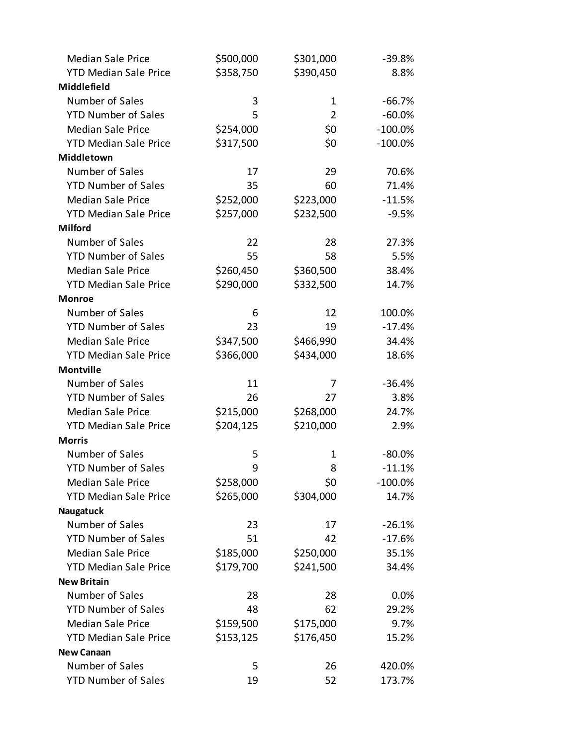| <b>Median Sale Price</b>     | \$500,000 | \$301,000      | $-39.8%$   |
|------------------------------|-----------|----------------|------------|
| <b>YTD Median Sale Price</b> | \$358,750 | \$390,450      | 8.8%       |
| Middlefield                  |           |                |            |
| Number of Sales              | 3         | 1              | $-66.7%$   |
| <b>YTD Number of Sales</b>   | 5         | $\overline{2}$ | $-60.0%$   |
| <b>Median Sale Price</b>     | \$254,000 | \$0            | $-100.0\%$ |
| <b>YTD Median Sale Price</b> | \$317,500 | \$0            | $-100.0\%$ |
| Middletown                   |           |                |            |
| Number of Sales              | 17        | 29             | 70.6%      |
| <b>YTD Number of Sales</b>   | 35        | 60             | 71.4%      |
| <b>Median Sale Price</b>     | \$252,000 | \$223,000      | $-11.5%$   |
| <b>YTD Median Sale Price</b> | \$257,000 | \$232,500      | $-9.5%$    |
| <b>Milford</b>               |           |                |            |
| Number of Sales              | 22        | 28             | 27.3%      |
| <b>YTD Number of Sales</b>   | 55        | 58             | 5.5%       |
| <b>Median Sale Price</b>     | \$260,450 | \$360,500      | 38.4%      |
| <b>YTD Median Sale Price</b> | \$290,000 | \$332,500      | 14.7%      |
| <b>Monroe</b>                |           |                |            |
| Number of Sales              | 6         | 12             | 100.0%     |
| <b>YTD Number of Sales</b>   | 23        | 19             | $-17.4%$   |
| <b>Median Sale Price</b>     | \$347,500 | \$466,990      | 34.4%      |
| <b>YTD Median Sale Price</b> | \$366,000 | \$434,000      | 18.6%      |
| <b>Montville</b>             |           |                |            |
| Number of Sales              | 11        | 7              | $-36.4%$   |
| <b>YTD Number of Sales</b>   | 26        | 27             | 3.8%       |
| <b>Median Sale Price</b>     | \$215,000 | \$268,000      | 24.7%      |
| <b>YTD Median Sale Price</b> | \$204,125 | \$210,000      | 2.9%       |
| <b>Morris</b>                |           |                |            |
| Number of Sales              | 5         | 1              | $-80.0%$   |
| <b>YTD Number of Sales</b>   | 9         | 8              | $-11.1%$   |
| <b>Median Sale Price</b>     | \$258,000 | \$0            | $-100.0\%$ |
| <b>YTD Median Sale Price</b> | \$265,000 | \$304,000      | 14.7%      |
| Naugatuck                    |           |                |            |
| Number of Sales              | 23        | 17             | $-26.1%$   |
| <b>YTD Number of Sales</b>   | 51        | 42             | $-17.6%$   |
| <b>Median Sale Price</b>     | \$185,000 | \$250,000      | 35.1%      |
| <b>YTD Median Sale Price</b> | \$179,700 | \$241,500      | 34.4%      |
| <b>New Britain</b>           |           |                |            |
| Number of Sales              | 28        | 28             | 0.0%       |
| <b>YTD Number of Sales</b>   | 48        | 62             | 29.2%      |
| <b>Median Sale Price</b>     | \$159,500 | \$175,000      | 9.7%       |
| <b>YTD Median Sale Price</b> | \$153,125 | \$176,450      | 15.2%      |
| <b>New Canaan</b>            |           |                |            |
| Number of Sales              | 5         | 26             | 420.0%     |
| <b>YTD Number of Sales</b>   | 19        | 52             | 173.7%     |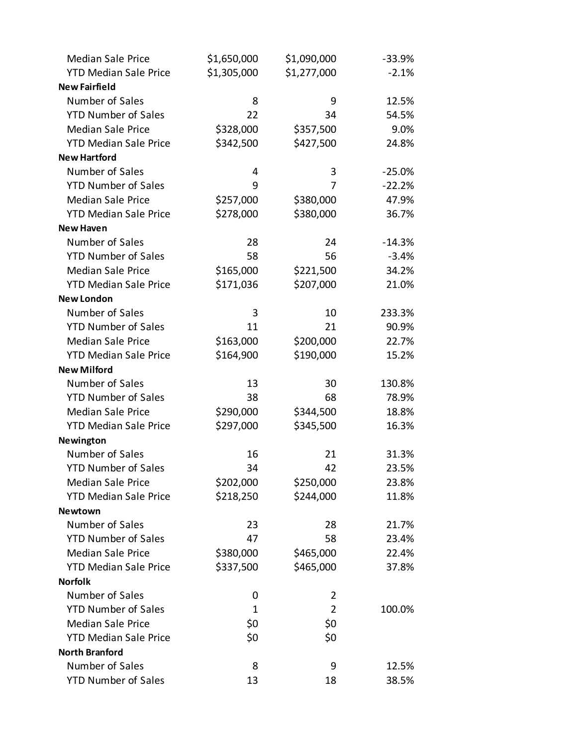| <b>Median Sale Price</b>     | \$1,650,000 | \$1,090,000    | $-33.9%$ |
|------------------------------|-------------|----------------|----------|
| <b>YTD Median Sale Price</b> | \$1,305,000 | \$1,277,000    | $-2.1%$  |
| <b>New Fairfield</b>         |             |                |          |
| Number of Sales              | 8           | 9              | 12.5%    |
| <b>YTD Number of Sales</b>   | 22          | 34             | 54.5%    |
| <b>Median Sale Price</b>     | \$328,000   | \$357,500      | 9.0%     |
| <b>YTD Median Sale Price</b> | \$342,500   | \$427,500      | 24.8%    |
| <b>New Hartford</b>          |             |                |          |
| Number of Sales              | 4           | 3              | $-25.0%$ |
| <b>YTD Number of Sales</b>   | 9           | 7              | $-22.2%$ |
| <b>Median Sale Price</b>     | \$257,000   | \$380,000      | 47.9%    |
| <b>YTD Median Sale Price</b> | \$278,000   | \$380,000      | 36.7%    |
| <b>New Haven</b>             |             |                |          |
| Number of Sales              | 28          | 24             | $-14.3%$ |
| <b>YTD Number of Sales</b>   | 58          | 56             | $-3.4%$  |
| <b>Median Sale Price</b>     | \$165,000   | \$221,500      | 34.2%    |
| <b>YTD Median Sale Price</b> | \$171,036   | \$207,000      | 21.0%    |
| <b>New London</b>            |             |                |          |
| Number of Sales              | 3           | 10             | 233.3%   |
| <b>YTD Number of Sales</b>   | 11          | 21             | 90.9%    |
| <b>Median Sale Price</b>     | \$163,000   | \$200,000      | 22.7%    |
| <b>YTD Median Sale Price</b> | \$164,900   | \$190,000      | 15.2%    |
| <b>New Milford</b>           |             |                |          |
| Number of Sales              | 13          | 30             | 130.8%   |
| <b>YTD Number of Sales</b>   | 38          | 68             | 78.9%    |
| <b>Median Sale Price</b>     | \$290,000   | \$344,500      | 18.8%    |
| <b>YTD Median Sale Price</b> | \$297,000   | \$345,500      | 16.3%    |
| <b>Newington</b>             |             |                |          |
| Number of Sales              | 16          | 21             | 31.3%    |
| <b>YTD Number of Sales</b>   | 34          | 42             | 23.5%    |
| <b>Median Sale Price</b>     | \$202,000   | \$250,000      | 23.8%    |
| <b>YTD Median Sale Price</b> | \$218,250   | \$244,000      | 11.8%    |
| <b>Newtown</b>               |             |                |          |
| Number of Sales              | 23          | 28             | 21.7%    |
| <b>YTD Number of Sales</b>   | 47          | 58             | 23.4%    |
| <b>Median Sale Price</b>     | \$380,000   | \$465,000      | 22.4%    |
| <b>YTD Median Sale Price</b> | \$337,500   | \$465,000      | 37.8%    |
| <b>Norfolk</b>               |             |                |          |
| Number of Sales              | 0           | 2              |          |
| <b>YTD Number of Sales</b>   | 1           | $\overline{2}$ | 100.0%   |
| <b>Median Sale Price</b>     | \$0         | \$0            |          |
| <b>YTD Median Sale Price</b> | \$0         | \$0            |          |
| <b>North Branford</b>        |             |                |          |
| Number of Sales              | 8           | 9              | 12.5%    |
| <b>YTD Number of Sales</b>   | 13          | 18             | 38.5%    |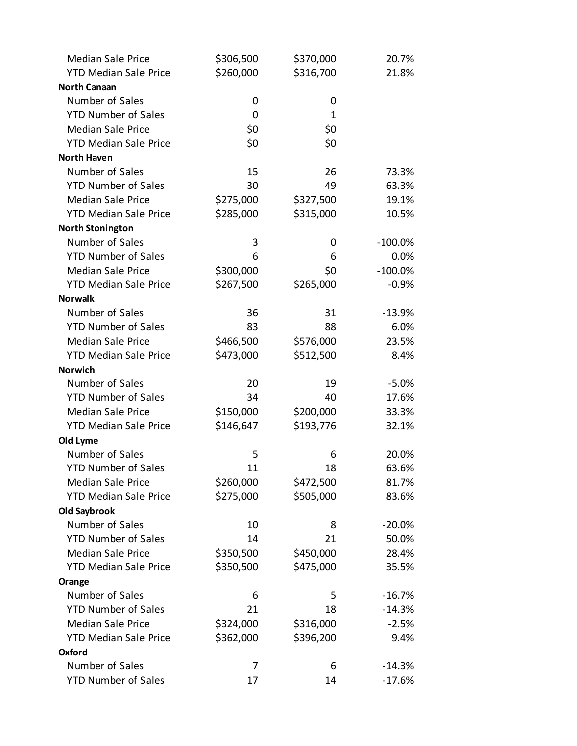| <b>Median Sale Price</b>     | \$306,500 | \$370,000 | 20.7%      |
|------------------------------|-----------|-----------|------------|
| <b>YTD Median Sale Price</b> | \$260,000 | \$316,700 | 21.8%      |
| <b>North Canaan</b>          |           |           |            |
| Number of Sales              | 0         | 0         |            |
| <b>YTD Number of Sales</b>   | 0         | 1         |            |
| <b>Median Sale Price</b>     | \$0       | \$0       |            |
| <b>YTD Median Sale Price</b> | \$0       | \$0       |            |
| <b>North Haven</b>           |           |           |            |
| Number of Sales              | 15        | 26        | 73.3%      |
| <b>YTD Number of Sales</b>   | 30        | 49        | 63.3%      |
| <b>Median Sale Price</b>     | \$275,000 | \$327,500 | 19.1%      |
| <b>YTD Median Sale Price</b> | \$285,000 | \$315,000 | 10.5%      |
| <b>North Stonington</b>      |           |           |            |
| Number of Sales              | 3         | 0         | $-100.0\%$ |
| <b>YTD Number of Sales</b>   | 6         | 6         | 0.0%       |
| <b>Median Sale Price</b>     | \$300,000 | \$0       | $-100.0\%$ |
| <b>YTD Median Sale Price</b> | \$267,500 | \$265,000 | $-0.9%$    |
| <b>Norwalk</b>               |           |           |            |
| Number of Sales              | 36        | 31        | $-13.9%$   |
| <b>YTD Number of Sales</b>   | 83        | 88        | 6.0%       |
| <b>Median Sale Price</b>     | \$466,500 | \$576,000 | 23.5%      |
| <b>YTD Median Sale Price</b> | \$473,000 | \$512,500 | 8.4%       |
| <b>Norwich</b>               |           |           |            |
| Number of Sales              | 20        | 19        | $-5.0%$    |
| <b>YTD Number of Sales</b>   | 34        | 40        | 17.6%      |
| <b>Median Sale Price</b>     | \$150,000 | \$200,000 | 33.3%      |
| <b>YTD Median Sale Price</b> | \$146,647 | \$193,776 | 32.1%      |
| Old Lyme                     |           |           |            |
| Number of Sales              | 5         | 6         | 20.0%      |
| <b>YTD Number of Sales</b>   | 11        | 18        | 63.6%      |
| <b>Median Sale Price</b>     | \$260,000 | \$472,500 | 81.7%      |
| <b>YTD Median Sale Price</b> | \$275,000 | \$505,000 | 83.6%      |
| <b>Old Saybrook</b>          |           |           |            |
| Number of Sales              | 10        | 8         | $-20.0%$   |
| <b>YTD Number of Sales</b>   | 14        | 21        | 50.0%      |
| <b>Median Sale Price</b>     | \$350,500 | \$450,000 | 28.4%      |
| <b>YTD Median Sale Price</b> | \$350,500 | \$475,000 | 35.5%      |
| Orange                       |           |           |            |
| Number of Sales              | 6         | 5         | $-16.7%$   |
| <b>YTD Number of Sales</b>   | 21        | 18        | $-14.3%$   |
| <b>Median Sale Price</b>     | \$324,000 | \$316,000 | $-2.5%$    |
| <b>YTD Median Sale Price</b> | \$362,000 | \$396,200 | 9.4%       |
| Oxford                       |           |           |            |
| Number of Sales              | 7         | 6         | $-14.3%$   |
| <b>YTD Number of Sales</b>   | 17        | 14        | $-17.6%$   |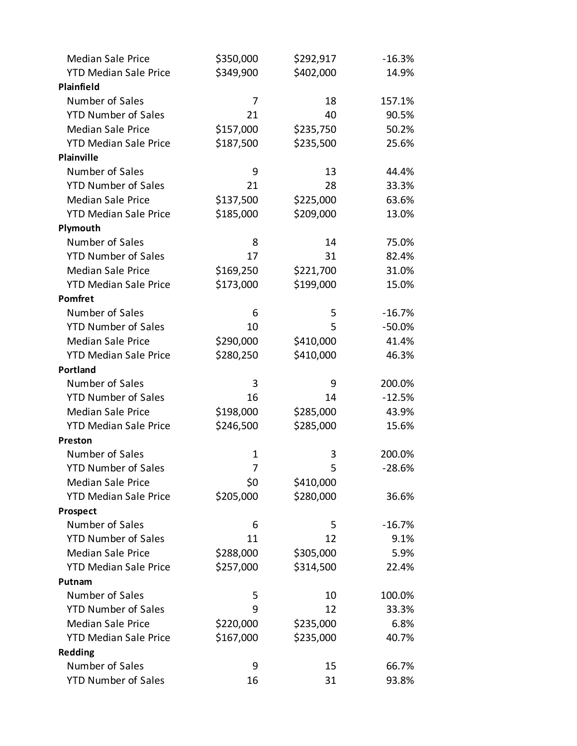| <b>Median Sale Price</b>     | \$350,000 | \$292,917 | $-16.3%$ |
|------------------------------|-----------|-----------|----------|
| <b>YTD Median Sale Price</b> | \$349,900 | \$402,000 | 14.9%    |
| Plainfield                   |           |           |          |
| Number of Sales              | 7         | 18        | 157.1%   |
| <b>YTD Number of Sales</b>   | 21        | 40        | 90.5%    |
| <b>Median Sale Price</b>     | \$157,000 | \$235,750 | 50.2%    |
| <b>YTD Median Sale Price</b> | \$187,500 | \$235,500 | 25.6%    |
| Plainville                   |           |           |          |
| Number of Sales              | 9         | 13        | 44.4%    |
| <b>YTD Number of Sales</b>   | 21        | 28        | 33.3%    |
| <b>Median Sale Price</b>     | \$137,500 | \$225,000 | 63.6%    |
| <b>YTD Median Sale Price</b> | \$185,000 | \$209,000 | 13.0%    |
| Plymouth                     |           |           |          |
| Number of Sales              | 8         | 14        | 75.0%    |
| <b>YTD Number of Sales</b>   | 17        | 31        | 82.4%    |
| <b>Median Sale Price</b>     | \$169,250 | \$221,700 | 31.0%    |
| <b>YTD Median Sale Price</b> | \$173,000 | \$199,000 | 15.0%    |
| Pomfret                      |           |           |          |
| Number of Sales              | 6         | 5         | $-16.7%$ |
| <b>YTD Number of Sales</b>   | 10        | 5         | $-50.0%$ |
| <b>Median Sale Price</b>     | \$290,000 | \$410,000 | 41.4%    |
| <b>YTD Median Sale Price</b> | \$280,250 | \$410,000 | 46.3%    |
| Portland                     |           |           |          |
| Number of Sales              | 3         | 9         | 200.0%   |
| <b>YTD Number of Sales</b>   | 16        | 14        | $-12.5%$ |
| <b>Median Sale Price</b>     | \$198,000 | \$285,000 | 43.9%    |
| <b>YTD Median Sale Price</b> | \$246,500 | \$285,000 | 15.6%    |
| Preston                      |           |           |          |
| Number of Sales              | 1         | 3         | 200.0%   |
| <b>YTD Number of Sales</b>   | 7         | 5         | $-28.6%$ |
| <b>Median Sale Price</b>     | \$0       | \$410,000 |          |
| <b>YTD Median Sale Price</b> | \$205,000 | \$280,000 | 36.6%    |
| Prospect                     |           |           |          |
| Number of Sales              | 6         | 5         | $-16.7%$ |
| <b>YTD Number of Sales</b>   | 11        | 12        | 9.1%     |
| <b>Median Sale Price</b>     | \$288,000 | \$305,000 | 5.9%     |
| <b>YTD Median Sale Price</b> | \$257,000 | \$314,500 | 22.4%    |
| Putnam                       |           |           |          |
| Number of Sales              | 5         | 10        | 100.0%   |
| <b>YTD Number of Sales</b>   | 9         | 12        | 33.3%    |
| <b>Median Sale Price</b>     | \$220,000 | \$235,000 | 6.8%     |
| <b>YTD Median Sale Price</b> | \$167,000 | \$235,000 | 40.7%    |
| <b>Redding</b>               |           |           |          |
| Number of Sales              | 9         | 15        | 66.7%    |
| <b>YTD Number of Sales</b>   | 16        | 31        | 93.8%    |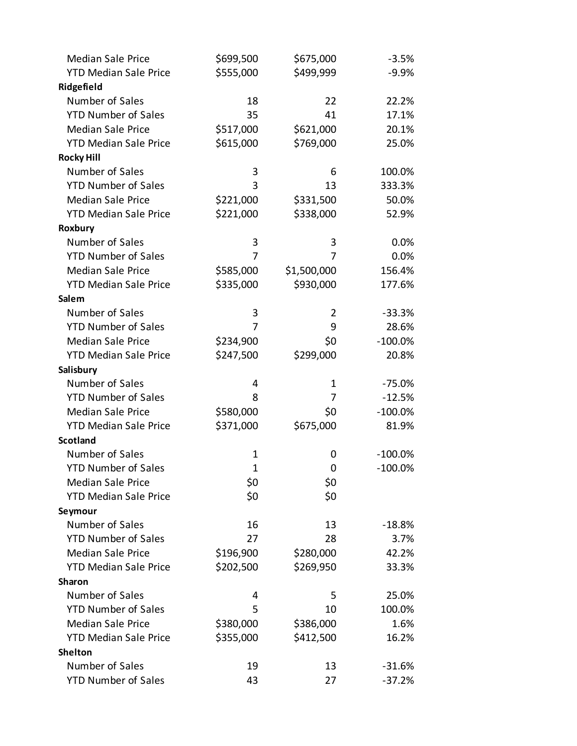| <b>Median Sale Price</b>     | \$699,500    | \$675,000   | $-3.5%$    |
|------------------------------|--------------|-------------|------------|
| <b>YTD Median Sale Price</b> | \$555,000    | \$499,999   | $-9.9%$    |
| Ridgefield                   |              |             |            |
| Number of Sales              | 18           | 22          | 22.2%      |
| <b>YTD Number of Sales</b>   | 35           | 41          | 17.1%      |
| <b>Median Sale Price</b>     | \$517,000    | \$621,000   | 20.1%      |
| <b>YTD Median Sale Price</b> | \$615,000    | \$769,000   | 25.0%      |
| <b>Rocky Hill</b>            |              |             |            |
| Number of Sales              | 3            | 6           | 100.0%     |
| <b>YTD Number of Sales</b>   | 3            | 13          | 333.3%     |
| <b>Median Sale Price</b>     | \$221,000    | \$331,500   | 50.0%      |
| <b>YTD Median Sale Price</b> | \$221,000    | \$338,000   | 52.9%      |
| Roxbury                      |              |             |            |
| Number of Sales              | 3            | 3           | 0.0%       |
| <b>YTD Number of Sales</b>   | 7            | 7           | 0.0%       |
| <b>Median Sale Price</b>     | \$585,000    | \$1,500,000 | 156.4%     |
| <b>YTD Median Sale Price</b> | \$335,000    | \$930,000   | 177.6%     |
| Salem                        |              |             |            |
| Number of Sales              | 3            | 2           | $-33.3%$   |
| <b>YTD Number of Sales</b>   | 7            | 9           | 28.6%      |
| <b>Median Sale Price</b>     | \$234,900    | \$0         | $-100.0\%$ |
| <b>YTD Median Sale Price</b> | \$247,500    | \$299,000   | 20.8%      |
| Salisbury                    |              |             |            |
| Number of Sales              | 4            | 1           | $-75.0%$   |
| <b>YTD Number of Sales</b>   | 8            | 7           | $-12.5%$   |
| <b>Median Sale Price</b>     | \$580,000    | \$0         | $-100.0\%$ |
| <b>YTD Median Sale Price</b> | \$371,000    | \$675,000   | 81.9%      |
| <b>Scotland</b>              |              |             |            |
| Number of Sales              | 1            | 0           | $-100.0\%$ |
| <b>YTD Number of Sales</b>   | $\mathbf{1}$ | 0           | $-100.0\%$ |
| <b>Median Sale Price</b>     | \$0          | \$0         |            |
| <b>YTD Median Sale Price</b> | \$0          | \$0         |            |
| Seymour                      |              |             |            |
| Number of Sales              | 16           | 13          | $-18.8%$   |
| <b>YTD Number of Sales</b>   | 27           | 28          | 3.7%       |
| <b>Median Sale Price</b>     | \$196,900    | \$280,000   | 42.2%      |
| <b>YTD Median Sale Price</b> | \$202,500    | \$269,950   | 33.3%      |
| <b>Sharon</b>                |              |             |            |
| Number of Sales              | 4            | 5           | 25.0%      |
| <b>YTD Number of Sales</b>   | 5            | 10          | 100.0%     |
| <b>Median Sale Price</b>     | \$380,000    | \$386,000   | 1.6%       |
| <b>YTD Median Sale Price</b> | \$355,000    | \$412,500   | 16.2%      |
| <b>Shelton</b>               |              |             |            |
| Number of Sales              | 19           | 13          | $-31.6%$   |
| <b>YTD Number of Sales</b>   | 43           | 27          | $-37.2%$   |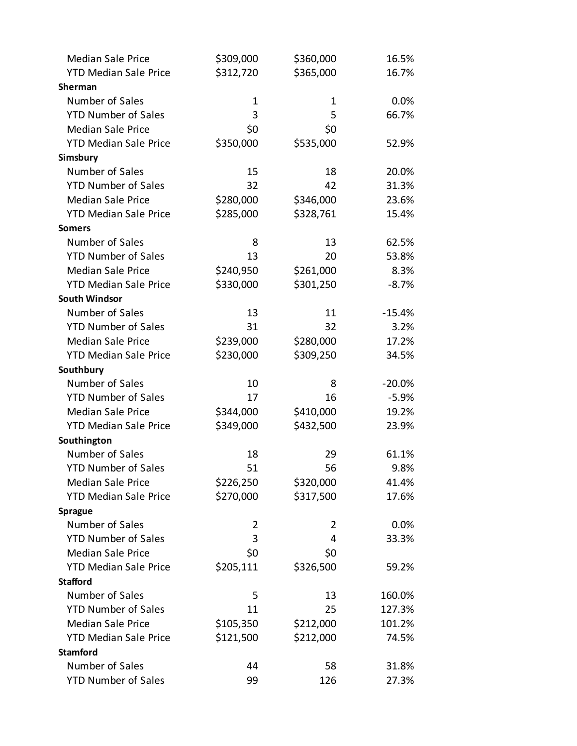| <b>Median Sale Price</b>     | \$309,000      | \$360,000 | 16.5%    |
|------------------------------|----------------|-----------|----------|
| <b>YTD Median Sale Price</b> | \$312,720      | \$365,000 | 16.7%    |
| Sherman                      |                |           |          |
| Number of Sales              | 1              | 1         | 0.0%     |
| <b>YTD Number of Sales</b>   | 3              | 5         | 66.7%    |
| <b>Median Sale Price</b>     | \$0            | \$0       |          |
| <b>YTD Median Sale Price</b> | \$350,000      | \$535,000 | 52.9%    |
| Simsbury                     |                |           |          |
| Number of Sales              | 15             | 18        | 20.0%    |
| <b>YTD Number of Sales</b>   | 32             | 42        | 31.3%    |
| <b>Median Sale Price</b>     | \$280,000      | \$346,000 | 23.6%    |
| <b>YTD Median Sale Price</b> | \$285,000      | \$328,761 | 15.4%    |
| <b>Somers</b>                |                |           |          |
| Number of Sales              | 8              | 13        | 62.5%    |
| <b>YTD Number of Sales</b>   | 13             | 20        | 53.8%    |
| <b>Median Sale Price</b>     | \$240,950      | \$261,000 | 8.3%     |
| <b>YTD Median Sale Price</b> | \$330,000      | \$301,250 | $-8.7%$  |
| <b>South Windsor</b>         |                |           |          |
| Number of Sales              | 13             | 11        | $-15.4%$ |
| <b>YTD Number of Sales</b>   | 31             | 32        | 3.2%     |
| <b>Median Sale Price</b>     | \$239,000      | \$280,000 | 17.2%    |
| <b>YTD Median Sale Price</b> | \$230,000      | \$309,250 | 34.5%    |
| Southbury                    |                |           |          |
| Number of Sales              | 10             | 8         | $-20.0%$ |
| <b>YTD Number of Sales</b>   | 17             | 16        | $-5.9%$  |
| <b>Median Sale Price</b>     | \$344,000      | \$410,000 | 19.2%    |
| <b>YTD Median Sale Price</b> | \$349,000      | \$432,500 | 23.9%    |
| Southington                  |                |           |          |
| Number of Sales              | 18             | 29        | 61.1%    |
| <b>YTD Number of Sales</b>   | 51             | 56        | 9.8%     |
| <b>Median Sale Price</b>     | \$226,250      | \$320,000 | 41.4%    |
| <b>YTD Median Sale Price</b> | \$270,000      | \$317,500 | 17.6%    |
| <b>Sprague</b>               |                |           |          |
| Number of Sales              | $\overline{2}$ | 2         | 0.0%     |
| <b>YTD Number of Sales</b>   | 3              | 4         | 33.3%    |
| <b>Median Sale Price</b>     | \$0            | \$0       |          |
| <b>YTD Median Sale Price</b> | \$205,111      | \$326,500 | 59.2%    |
| <b>Stafford</b>              |                |           |          |
| Number of Sales              | 5              | 13        | 160.0%   |
| <b>YTD Number of Sales</b>   | 11             | 25        | 127.3%   |
| <b>Median Sale Price</b>     | \$105,350      | \$212,000 | 101.2%   |
| <b>YTD Median Sale Price</b> | \$121,500      | \$212,000 | 74.5%    |
| <b>Stamford</b>              |                |           |          |
| Number of Sales              | 44             | 58        | 31.8%    |
| <b>YTD Number of Sales</b>   | 99             | 126       | 27.3%    |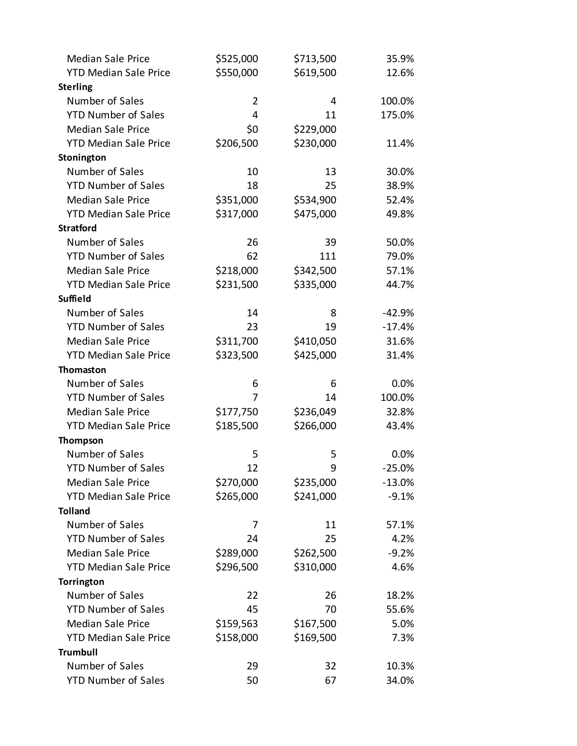| <b>Median Sale Price</b>     | \$525,000      | \$713,500 | 35.9%    |
|------------------------------|----------------|-----------|----------|
| <b>YTD Median Sale Price</b> | \$550,000      | \$619,500 | 12.6%    |
| <b>Sterling</b>              |                |           |          |
| Number of Sales              | $\overline{2}$ | 4         | 100.0%   |
| <b>YTD Number of Sales</b>   | 4              | 11        | 175.0%   |
| <b>Median Sale Price</b>     | \$0            | \$229,000 |          |
| <b>YTD Median Sale Price</b> | \$206,500      | \$230,000 | 11.4%    |
| Stonington                   |                |           |          |
| Number of Sales              | 10             | 13        | 30.0%    |
| <b>YTD Number of Sales</b>   | 18             | 25        | 38.9%    |
| <b>Median Sale Price</b>     | \$351,000      | \$534,900 | 52.4%    |
| <b>YTD Median Sale Price</b> | \$317,000      | \$475,000 | 49.8%    |
| <b>Stratford</b>             |                |           |          |
| Number of Sales              | 26             | 39        | 50.0%    |
| <b>YTD Number of Sales</b>   | 62             | 111       | 79.0%    |
| <b>Median Sale Price</b>     | \$218,000      | \$342,500 | 57.1%    |
| <b>YTD Median Sale Price</b> | \$231,500      | \$335,000 | 44.7%    |
| <b>Suffield</b>              |                |           |          |
| Number of Sales              | 14             | 8         | $-42.9%$ |
| <b>YTD Number of Sales</b>   | 23             | 19        | $-17.4%$ |
| <b>Median Sale Price</b>     | \$311,700      | \$410,050 | 31.6%    |
| <b>YTD Median Sale Price</b> | \$323,500      | \$425,000 | 31.4%    |
| <b>Thomaston</b>             |                |           |          |
| Number of Sales              | 6              | 6         | 0.0%     |
| <b>YTD Number of Sales</b>   | 7              | 14        | 100.0%   |
| <b>Median Sale Price</b>     | \$177,750      | \$236,049 | 32.8%    |
| <b>YTD Median Sale Price</b> | \$185,500      | \$266,000 | 43.4%    |
| <b>Thompson</b>              |                |           |          |
| Number of Sales              | 5              | 5         | 0.0%     |
| <b>YTD Number of Sales</b>   | 12             | 9         | $-25.0%$ |
| <b>Median Sale Price</b>     | \$270,000      | \$235,000 | $-13.0%$ |
| <b>YTD Median Sale Price</b> | \$265,000      | \$241,000 | $-9.1%$  |
| <b>Tolland</b>               |                |           |          |
| Number of Sales              | 7              | 11        | 57.1%    |
| <b>YTD Number of Sales</b>   | 24             | 25        | 4.2%     |
| <b>Median Sale Price</b>     | \$289,000      | \$262,500 | $-9.2%$  |
| <b>YTD Median Sale Price</b> | \$296,500      | \$310,000 | 4.6%     |
| Torrington                   |                |           |          |
| Number of Sales              | 22             | 26        | 18.2%    |
| <b>YTD Number of Sales</b>   | 45             | 70        | 55.6%    |
| <b>Median Sale Price</b>     | \$159,563      | \$167,500 | 5.0%     |
| <b>YTD Median Sale Price</b> | \$158,000      | \$169,500 | 7.3%     |
| <b>Trumbull</b>              |                |           |          |
| Number of Sales              | 29             | 32        | 10.3%    |
| <b>YTD Number of Sales</b>   | 50             | 67        | 34.0%    |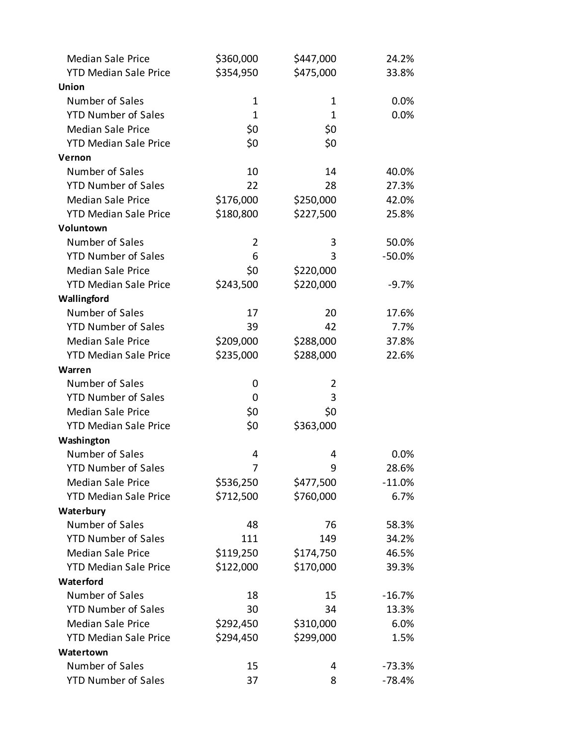| <b>Median Sale Price</b>     | \$360,000      | \$447,000 | 24.2%    |
|------------------------------|----------------|-----------|----------|
| <b>YTD Median Sale Price</b> | \$354,950      | \$475,000 | 33.8%    |
| Union                        |                |           |          |
| Number of Sales              | $\mathbf 1$    | 1         | 0.0%     |
| <b>YTD Number of Sales</b>   | 1              | 1         | 0.0%     |
| <b>Median Sale Price</b>     | \$0            | \$0       |          |
| <b>YTD Median Sale Price</b> | \$0            | \$0       |          |
| Vernon                       |                |           |          |
| Number of Sales              | 10             | 14        | 40.0%    |
| <b>YTD Number of Sales</b>   | 22             | 28        | 27.3%    |
| <b>Median Sale Price</b>     | \$176,000      | \$250,000 | 42.0%    |
| <b>YTD Median Sale Price</b> | \$180,800      | \$227,500 | 25.8%    |
| Voluntown                    |                |           |          |
| Number of Sales              | $\overline{2}$ | 3         | 50.0%    |
| <b>YTD Number of Sales</b>   | 6              | 3         | $-50.0%$ |
| <b>Median Sale Price</b>     | \$0            | \$220,000 |          |
| <b>YTD Median Sale Price</b> | \$243,500      | \$220,000 | $-9.7%$  |
| Wallingford                  |                |           |          |
| Number of Sales              | 17             | 20        | 17.6%    |
| <b>YTD Number of Sales</b>   | 39             | 42        | 7.7%     |
| <b>Median Sale Price</b>     | \$209,000      | \$288,000 | 37.8%    |
| <b>YTD Median Sale Price</b> | \$235,000      | \$288,000 | 22.6%    |
| Warren                       |                |           |          |
| Number of Sales              | 0              | 2         |          |
| <b>YTD Number of Sales</b>   | 0              | 3         |          |
| <b>Median Sale Price</b>     | \$0            | \$0       |          |
| <b>YTD Median Sale Price</b> | \$0            | \$363,000 |          |
| Washington                   |                |           |          |
| Number of Sales              | 4              | 4         | 0.0%     |
| <b>YTD Number of Sales</b>   | 7              | 9         | 28.6%    |
| <b>Median Sale Price</b>     | \$536,250      | \$477,500 | $-11.0%$ |
| <b>YTD Median Sale Price</b> | \$712,500      | \$760,000 | 6.7%     |
| Waterbury                    |                |           |          |
| Number of Sales              | 48             | 76        | 58.3%    |
| <b>YTD Number of Sales</b>   | 111            | 149       | 34.2%    |
| <b>Median Sale Price</b>     | \$119,250      | \$174,750 | 46.5%    |
| <b>YTD Median Sale Price</b> | \$122,000      | \$170,000 | 39.3%    |
| Waterford                    |                |           |          |
| Number of Sales              | 18             | 15        | $-16.7%$ |
| <b>YTD Number of Sales</b>   | 30             | 34        | 13.3%    |
| <b>Median Sale Price</b>     | \$292,450      | \$310,000 | 6.0%     |
| <b>YTD Median Sale Price</b> | \$294,450      | \$299,000 | 1.5%     |
| Watertown                    |                |           |          |
| Number of Sales              | 15             | 4         | $-73.3%$ |
| <b>YTD Number of Sales</b>   | 37             | 8         | $-78.4%$ |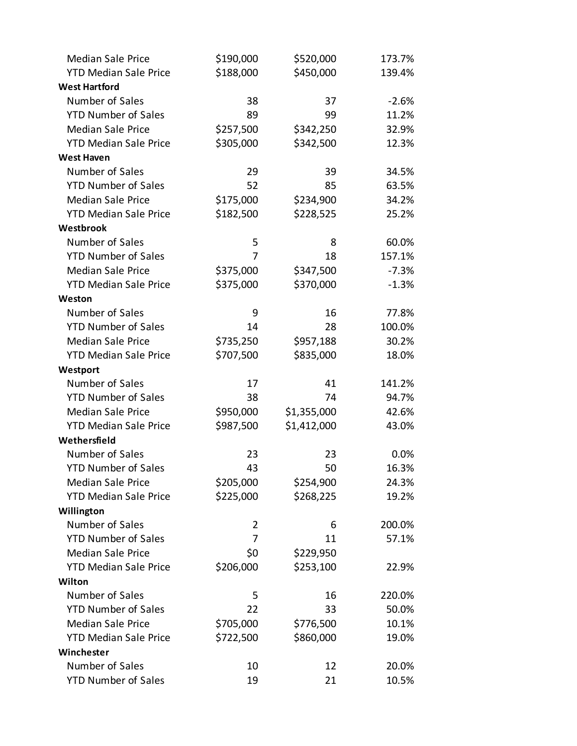| <b>Median Sale Price</b>     | \$190,000 | \$520,000   | 173.7%  |
|------------------------------|-----------|-------------|---------|
| <b>YTD Median Sale Price</b> | \$188,000 | \$450,000   | 139.4%  |
| <b>West Hartford</b>         |           |             |         |
| Number of Sales              | 38        | 37          | $-2.6%$ |
| <b>YTD Number of Sales</b>   | 89        | 99          | 11.2%   |
| <b>Median Sale Price</b>     | \$257,500 | \$342,250   | 32.9%   |
| <b>YTD Median Sale Price</b> | \$305,000 | \$342,500   | 12.3%   |
| <b>West Haven</b>            |           |             |         |
| Number of Sales              | 29        | 39          | 34.5%   |
| <b>YTD Number of Sales</b>   | 52        | 85          | 63.5%   |
| <b>Median Sale Price</b>     | \$175,000 | \$234,900   | 34.2%   |
| <b>YTD Median Sale Price</b> | \$182,500 | \$228,525   | 25.2%   |
| Westbrook                    |           |             |         |
| Number of Sales              | 5         | 8           | 60.0%   |
| <b>YTD Number of Sales</b>   | 7         | 18          | 157.1%  |
| <b>Median Sale Price</b>     | \$375,000 | \$347,500   | $-7.3%$ |
| <b>YTD Median Sale Price</b> | \$375,000 | \$370,000   | $-1.3%$ |
| Weston                       |           |             |         |
| Number of Sales              | 9         | 16          | 77.8%   |
| <b>YTD Number of Sales</b>   | 14        | 28          | 100.0%  |
| <b>Median Sale Price</b>     | \$735,250 | \$957,188   | 30.2%   |
| <b>YTD Median Sale Price</b> | \$707,500 | \$835,000   | 18.0%   |
| Westport                     |           |             |         |
| Number of Sales              | 17        | 41          | 141.2%  |
| <b>YTD Number of Sales</b>   | 38        | 74          | 94.7%   |
| <b>Median Sale Price</b>     | \$950,000 | \$1,355,000 | 42.6%   |
| <b>YTD Median Sale Price</b> | \$987,500 | \$1,412,000 | 43.0%   |
| Wethersfield                 |           |             |         |
| Number of Sales              | 23        | 23          | 0.0%    |
| <b>YTD Number of Sales</b>   | 43        | 50          | 16.3%   |
| <b>Median Sale Price</b>     | \$205,000 | \$254,900   | 24.3%   |
| <b>YTD Median Sale Price</b> | \$225,000 | \$268,225   | 19.2%   |
| Willington                   |           |             |         |
| Number of Sales              | 2         | 6           | 200.0%  |
| <b>YTD Number of Sales</b>   | 7         | 11          | 57.1%   |
| <b>Median Sale Price</b>     | \$0       | \$229,950   |         |
| <b>YTD Median Sale Price</b> | \$206,000 | \$253,100   | 22.9%   |
| Wilton                       |           |             |         |
| Number of Sales              | 5         | 16          | 220.0%  |
| <b>YTD Number of Sales</b>   | 22        | 33          | 50.0%   |
| <b>Median Sale Price</b>     | \$705,000 | \$776,500   | 10.1%   |
| <b>YTD Median Sale Price</b> | \$722,500 | \$860,000   | 19.0%   |
| Winchester                   |           |             |         |
| Number of Sales              | 10        | 12          | 20.0%   |
| <b>YTD Number of Sales</b>   | 19        | 21          | 10.5%   |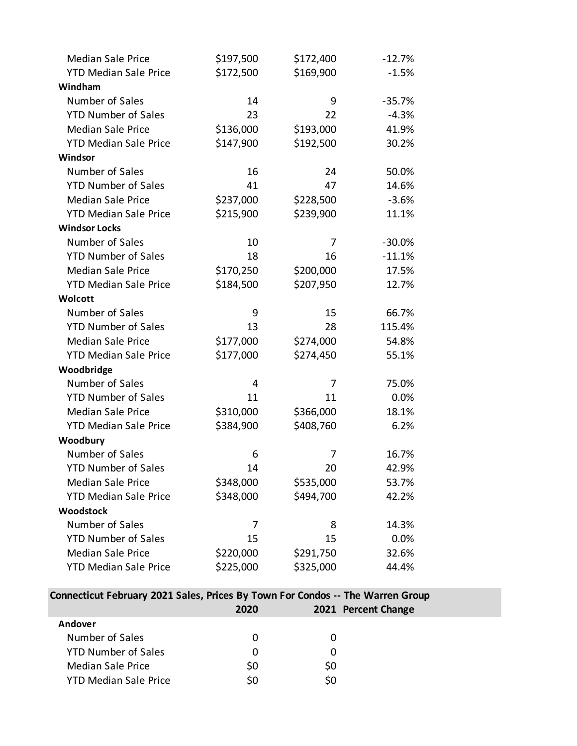| <b>Median Sale Price</b>     | \$197,500 | \$172,400 | $-12.7%$ |
|------------------------------|-----------|-----------|----------|
| <b>YTD Median Sale Price</b> | \$172,500 | \$169,900 | $-1.5%$  |
| Windham                      |           |           |          |
| Number of Sales              | 14        | 9         | $-35.7%$ |
| <b>YTD Number of Sales</b>   | 23        | 22        | $-4.3%$  |
| <b>Median Sale Price</b>     | \$136,000 | \$193,000 | 41.9%    |
| <b>YTD Median Sale Price</b> | \$147,900 | \$192,500 | 30.2%    |
| Windsor                      |           |           |          |
| Number of Sales              | 16        | 24        | 50.0%    |
| <b>YTD Number of Sales</b>   | 41        | 47        | 14.6%    |
| <b>Median Sale Price</b>     | \$237,000 | \$228,500 | $-3.6%$  |
| <b>YTD Median Sale Price</b> | \$215,900 | \$239,900 | 11.1%    |
| <b>Windsor Locks</b>         |           |           |          |
| Number of Sales              | 10        | 7         | $-30.0%$ |
| <b>YTD Number of Sales</b>   | 18        | 16        | $-11.1%$ |
| <b>Median Sale Price</b>     | \$170,250 | \$200,000 | 17.5%    |
| <b>YTD Median Sale Price</b> | \$184,500 | \$207,950 | 12.7%    |
| Wolcott                      |           |           |          |
| Number of Sales              | 9         | 15        | 66.7%    |
| <b>YTD Number of Sales</b>   | 13        | 28        | 115.4%   |
| <b>Median Sale Price</b>     | \$177,000 | \$274,000 | 54.8%    |
| <b>YTD Median Sale Price</b> | \$177,000 | \$274,450 | 55.1%    |
| Woodbridge                   |           |           |          |
| Number of Sales              | 4         | 7         | 75.0%    |
| <b>YTD Number of Sales</b>   | 11        | 11        | 0.0%     |
| <b>Median Sale Price</b>     | \$310,000 | \$366,000 | 18.1%    |
| <b>YTD Median Sale Price</b> | \$384,900 | \$408,760 | 6.2%     |
| Woodbury                     |           |           |          |
| Number of Sales              | 6         | 7         | 16.7%    |
| <b>YTD Number of Sales</b>   | 14        | 20        | 42.9%    |
| <b>Median Sale Price</b>     | \$348,000 | \$535,000 | 53.7%    |
| <b>YTD Median Sale Price</b> | \$348,000 | \$494,700 | 42.2%    |
| <b>Woodstock</b>             |           |           |          |
| Number of Sales              | 7         | 8         | 14.3%    |
| <b>YTD Number of Sales</b>   | 15        | 15        | 0.0%     |
| <b>Median Sale Price</b>     | \$220,000 | \$291,750 | 32.6%    |
| <b>YTD Median Sale Price</b> | \$225,000 | \$325,000 | 44.4%    |

## **Connecticut February 2021 Sales, Prices By Town For Condos -- The Warren Group**

|                              | 2020 |    | 2021 Percent Change |
|------------------------------|------|----|---------------------|
| Andover                      |      |    |                     |
| Number of Sales              |      |    |                     |
| <b>YTD Number of Sales</b>   |      |    |                     |
| Median Sale Price            | S0   | S0 |                     |
| <b>YTD Median Sale Price</b> |      |    |                     |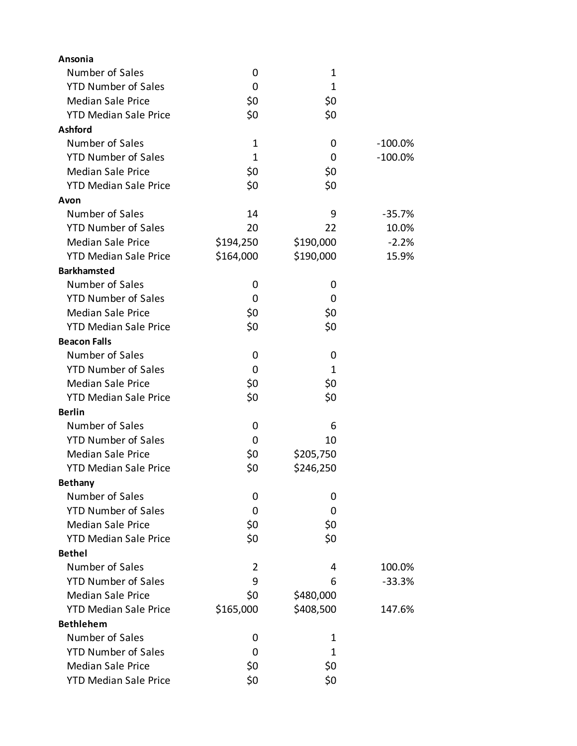| Ansonia                      |              |           |            |
|------------------------------|--------------|-----------|------------|
| Number of Sales              | 0            | 1         |            |
| <b>YTD Number of Sales</b>   | 0            | 1         |            |
| <b>Median Sale Price</b>     | \$0          | \$0       |            |
| <b>YTD Median Sale Price</b> | \$0          | \$0       |            |
| <b>Ashford</b>               |              |           |            |
| Number of Sales              | 1            | 0         | $-100.0\%$ |
| <b>YTD Number of Sales</b>   | $\mathbf{1}$ | 0         | $-100.0\%$ |
| <b>Median Sale Price</b>     | \$0          | \$0       |            |
| <b>YTD Median Sale Price</b> | \$0          | \$0       |            |
| Avon                         |              |           |            |
| Number of Sales              | 14           | 9         | $-35.7%$   |
| <b>YTD Number of Sales</b>   | 20           | 22        | 10.0%      |
| <b>Median Sale Price</b>     | \$194,250    | \$190,000 | $-2.2%$    |
| <b>YTD Median Sale Price</b> | \$164,000    | \$190,000 | 15.9%      |
| <b>Barkhamsted</b>           |              |           |            |
| Number of Sales              | 0            | 0         |            |
| <b>YTD Number of Sales</b>   | 0            | 0         |            |
| <b>Median Sale Price</b>     | \$0          | \$0       |            |
| <b>YTD Median Sale Price</b> | \$0          | \$0       |            |
| <b>Beacon Falls</b>          |              |           |            |
| Number of Sales              | 0            | 0         |            |
| <b>YTD Number of Sales</b>   | 0            | 1         |            |
| <b>Median Sale Price</b>     | \$0          | \$0       |            |
| <b>YTD Median Sale Price</b> | \$0          | \$0       |            |
| <b>Berlin</b>                |              |           |            |
| Number of Sales              | 0            | 6         |            |
| <b>YTD Number of Sales</b>   | 0            | 10        |            |
| <b>Median Sale Price</b>     | \$0          | \$205,750 |            |
| <b>YTD Median Sale Price</b> | \$0          | \$246,250 |            |
| <b>Bethany</b>               |              |           |            |
| Number of Sales              | 0            | 0         |            |
| <b>YTD Number of Sales</b>   | 0            | 0         |            |
| <b>Median Sale Price</b>     | \$0          | \$0       |            |
| <b>YTD Median Sale Price</b> | \$0          | \$0       |            |
| <b>Bethel</b>                |              |           |            |
| Number of Sales              | 2            | 4         | 100.0%     |
| <b>YTD Number of Sales</b>   | 9            | 6         | $-33.3%$   |
| <b>Median Sale Price</b>     | \$0          | \$480,000 |            |
| <b>YTD Median Sale Price</b> | \$165,000    | \$408,500 | 147.6%     |
| <b>Bethlehem</b>             |              |           |            |
| Number of Sales              | 0            | 1         |            |
| <b>YTD Number of Sales</b>   | 0            | 1         |            |
| <b>Median Sale Price</b>     | \$0          | \$0       |            |
| <b>YTD Median Sale Price</b> | \$0          | \$0       |            |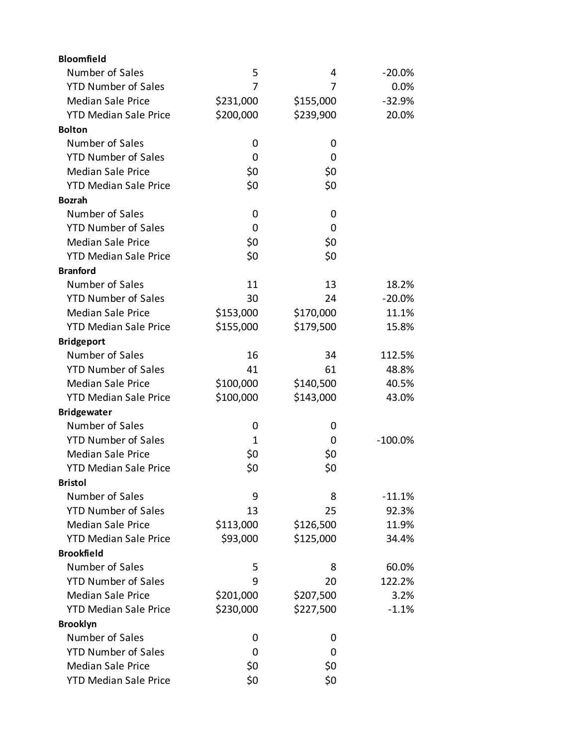| <b>Bloomfield</b>            |           |           |           |
|------------------------------|-----------|-----------|-----------|
| Number of Sales              | 5         | 4         | $-20.0%$  |
| <b>YTD Number of Sales</b>   | 7         | 7         | 0.0%      |
| <b>Median Sale Price</b>     | \$231,000 | \$155,000 | $-32.9%$  |
| <b>YTD Median Sale Price</b> | \$200,000 | \$239,900 | 20.0%     |
| <b>Bolton</b>                |           |           |           |
| Number of Sales              | 0         | 0         |           |
| <b>YTD Number of Sales</b>   | 0         | 0         |           |
| <b>Median Sale Price</b>     | \$0       | \$0       |           |
| <b>YTD Median Sale Price</b> | \$0       | \$0       |           |
| <b>Bozrah</b>                |           |           |           |
| Number of Sales              | 0         | 0         |           |
| <b>YTD Number of Sales</b>   | 0         | 0         |           |
| <b>Median Sale Price</b>     | \$0       | \$0       |           |
| <b>YTD Median Sale Price</b> | \$0       | \$0       |           |
| <b>Branford</b>              |           |           |           |
| Number of Sales              | 11        | 13        | 18.2%     |
| <b>YTD Number of Sales</b>   | 30        | 24        | $-20.0%$  |
| <b>Median Sale Price</b>     | \$153,000 | \$170,000 | 11.1%     |
| <b>YTD Median Sale Price</b> | \$155,000 | \$179,500 | 15.8%     |
| <b>Bridgeport</b>            |           |           |           |
| Number of Sales              | 16        | 34        | 112.5%    |
| <b>YTD Number of Sales</b>   | 41        | 61        | 48.8%     |
| <b>Median Sale Price</b>     | \$100,000 | \$140,500 | 40.5%     |
| <b>YTD Median Sale Price</b> | \$100,000 | \$143,000 | 43.0%     |
| <b>Bridgewater</b>           |           |           |           |
| Number of Sales              | 0         | 0         |           |
| <b>YTD Number of Sales</b>   | 1         | 0         | $-100.0%$ |
| <b>Median Sale Price</b>     | \$0       | \$0       |           |
| <b>YTD Median Sale Price</b> | \$0       | \$0       |           |
| <b>Bristol</b>               |           |           |           |
| Number of Sales              | 9         | 8         | $-11.1%$  |
| <b>YTD Number of Sales</b>   | 13        | 25        | 92.3%     |
| <b>Median Sale Price</b>     | \$113,000 | \$126,500 | 11.9%     |
| <b>YTD Median Sale Price</b> | \$93,000  | \$125,000 | 34.4%     |
| <b>Brookfield</b>            |           |           |           |
| Number of Sales              | 5         | 8         | 60.0%     |
| <b>YTD Number of Sales</b>   | 9         | 20        | 122.2%    |
| <b>Median Sale Price</b>     | \$201,000 | \$207,500 | 3.2%      |
| <b>YTD Median Sale Price</b> | \$230,000 | \$227,500 | $-1.1%$   |
| <b>Brooklyn</b>              |           |           |           |
| Number of Sales              | 0         | 0         |           |
| <b>YTD Number of Sales</b>   | 0         | 0         |           |
| <b>Median Sale Price</b>     | \$0       | \$0       |           |
| <b>YTD Median Sale Price</b> | \$0       | \$0       |           |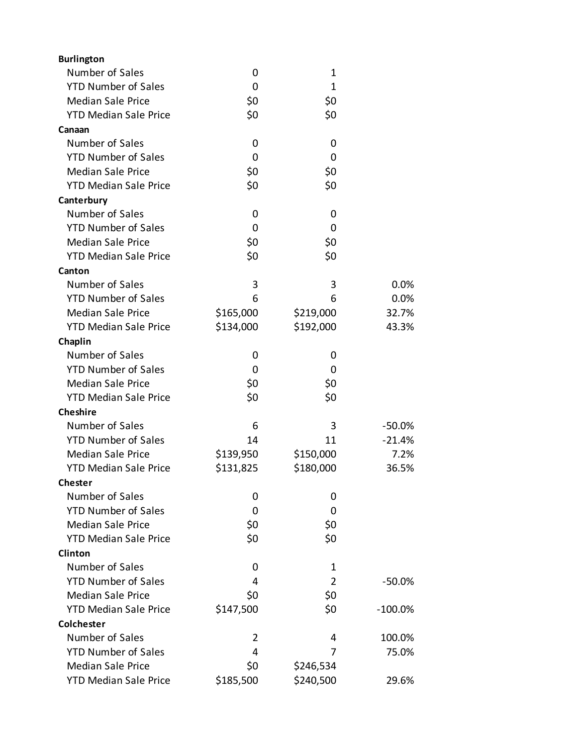| <b>Burlington</b>            |           |                |            |
|------------------------------|-----------|----------------|------------|
| Number of Sales              | 0         | $\mathbf 1$    |            |
| <b>YTD Number of Sales</b>   | 0         | 1              |            |
| <b>Median Sale Price</b>     | \$0       | \$0            |            |
| <b>YTD Median Sale Price</b> | \$0       | \$0            |            |
| Canaan                       |           |                |            |
| Number of Sales              | 0         | 0              |            |
| <b>YTD Number of Sales</b>   | 0         | 0              |            |
| <b>Median Sale Price</b>     | \$0       | \$0            |            |
| <b>YTD Median Sale Price</b> | \$0       | \$0            |            |
| Canterbury                   |           |                |            |
| Number of Sales              | 0         | 0              |            |
| <b>YTD Number of Sales</b>   | 0         | 0              |            |
| <b>Median Sale Price</b>     | \$0       | \$0            |            |
| <b>YTD Median Sale Price</b> | \$0       | \$0            |            |
| Canton                       |           |                |            |
| Number of Sales              | 3         | 3              | 0.0%       |
| <b>YTD Number of Sales</b>   | 6         | 6              | 0.0%       |
| <b>Median Sale Price</b>     | \$165,000 | \$219,000      | 32.7%      |
| <b>YTD Median Sale Price</b> | \$134,000 | \$192,000      | 43.3%      |
| Chaplin                      |           |                |            |
| Number of Sales              | 0         | 0              |            |
| <b>YTD Number of Sales</b>   | 0         | 0              |            |
| <b>Median Sale Price</b>     | \$0       | \$0            |            |
| <b>YTD Median Sale Price</b> | \$0       | \$0            |            |
| <b>Cheshire</b>              |           |                |            |
| Number of Sales              | 6         | 3              | $-50.0%$   |
| <b>YTD Number of Sales</b>   | 14        | 11             | $-21.4%$   |
| <b>Median Sale Price</b>     | \$139,950 | \$150,000      | 7.2%       |
| <b>YTD Median Sale Price</b> | \$131,825 | \$180,000      | 36.5%      |
| <b>Chester</b>               |           |                |            |
| Number of Sales              | 0         | 0              |            |
| <b>YTD Number of Sales</b>   | 0         | 0              |            |
| <b>Median Sale Price</b>     | \$0       | \$0            |            |
| <b>YTD Median Sale Price</b> | \$0       | \$0            |            |
| <b>Clinton</b>               |           |                |            |
| Number of Sales              | 0         | 1              |            |
| <b>YTD Number of Sales</b>   | 4         | $\overline{2}$ | $-50.0%$   |
| <b>Median Sale Price</b>     | \$0       | \$0            |            |
| <b>YTD Median Sale Price</b> | \$147,500 | \$0            | $-100.0\%$ |
| <b>Colchester</b>            |           |                |            |
| Number of Sales              | 2         | 4              | 100.0%     |
| <b>YTD Number of Sales</b>   | 4         | 7              | 75.0%      |
| <b>Median Sale Price</b>     | \$0       | \$246,534      |            |
| <b>YTD Median Sale Price</b> | \$185,500 | \$240,500      | 29.6%      |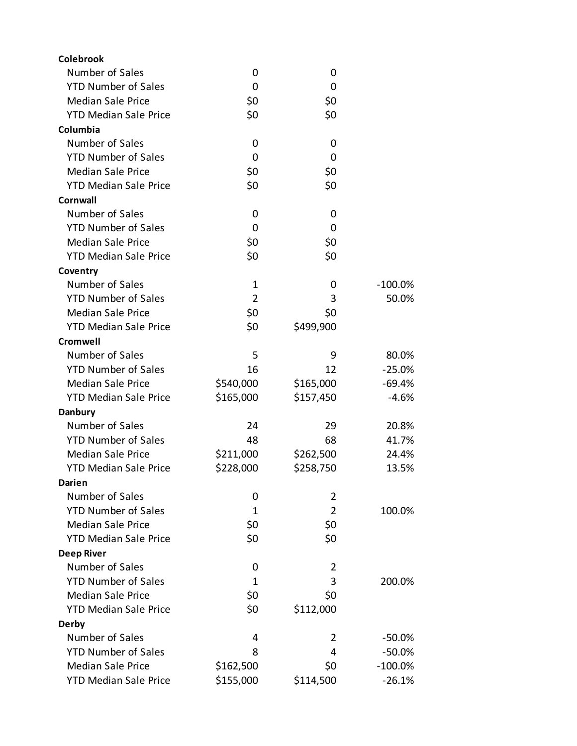| <b>Colebrook</b>             |                |                |            |
|------------------------------|----------------|----------------|------------|
| Number of Sales              | 0              | 0              |            |
| <b>YTD Number of Sales</b>   | 0              | 0              |            |
| <b>Median Sale Price</b>     | \$0            | \$0            |            |
| <b>YTD Median Sale Price</b> | \$0            | \$0            |            |
| Columbia                     |                |                |            |
| Number of Sales              | 0              | 0              |            |
| <b>YTD Number of Sales</b>   | 0              | 0              |            |
| <b>Median Sale Price</b>     | \$0            | \$0            |            |
| <b>YTD Median Sale Price</b> | \$0            | \$0            |            |
| Cornwall                     |                |                |            |
| Number of Sales              | 0              | 0              |            |
| <b>YTD Number of Sales</b>   | 0              | 0              |            |
| <b>Median Sale Price</b>     | \$0            | \$0            |            |
| <b>YTD Median Sale Price</b> | \$0            | \$0            |            |
| Coventry                     |                |                |            |
| Number of Sales              | 1              | 0              | $-100.0\%$ |
| <b>YTD Number of Sales</b>   | $\overline{2}$ | 3              | 50.0%      |
| <b>Median Sale Price</b>     | \$0            | \$0            |            |
| <b>YTD Median Sale Price</b> | \$0            | \$499,900      |            |
| <b>Cromwell</b>              |                |                |            |
| Number of Sales              | 5              | 9              | 80.0%      |
| <b>YTD Number of Sales</b>   | 16             | 12             | $-25.0%$   |
| <b>Median Sale Price</b>     | \$540,000      | \$165,000      | $-69.4%$   |
| <b>YTD Median Sale Price</b> | \$165,000      | \$157,450      | $-4.6%$    |
| <b>Danbury</b>               |                |                |            |
| Number of Sales              | 24             | 29             | 20.8%      |
| <b>YTD Number of Sales</b>   | 48             | 68             | 41.7%      |
| <b>Median Sale Price</b>     | \$211,000      | \$262,500      | 24.4%      |
| <b>YTD Median Sale Price</b> | \$228,000      | \$258,750      | 13.5%      |
| Darien                       |                |                |            |
| Number of Sales              | 0              | $\overline{2}$ |            |
| <b>YTD Number of Sales</b>   | 1              | $\overline{2}$ | 100.0%     |
| <b>Median Sale Price</b>     | \$0            | \$0            |            |
| <b>YTD Median Sale Price</b> | \$0            | \$0            |            |
| <b>Deep River</b>            |                |                |            |
| Number of Sales              | 0              | 2              |            |
| <b>YTD Number of Sales</b>   | 1              | 3              | 200.0%     |
| <b>Median Sale Price</b>     | \$0            | \$0            |            |
| <b>YTD Median Sale Price</b> | \$0            | \$112,000      |            |
| Derby                        |                |                |            |
| Number of Sales              | 4              | 2              | $-50.0\%$  |
| <b>YTD Number of Sales</b>   | 8              | 4              | $-50.0%$   |
| <b>Median Sale Price</b>     | \$162,500      | \$0            | $-100.0\%$ |
| <b>YTD Median Sale Price</b> | \$155,000      | \$114,500      | $-26.1%$   |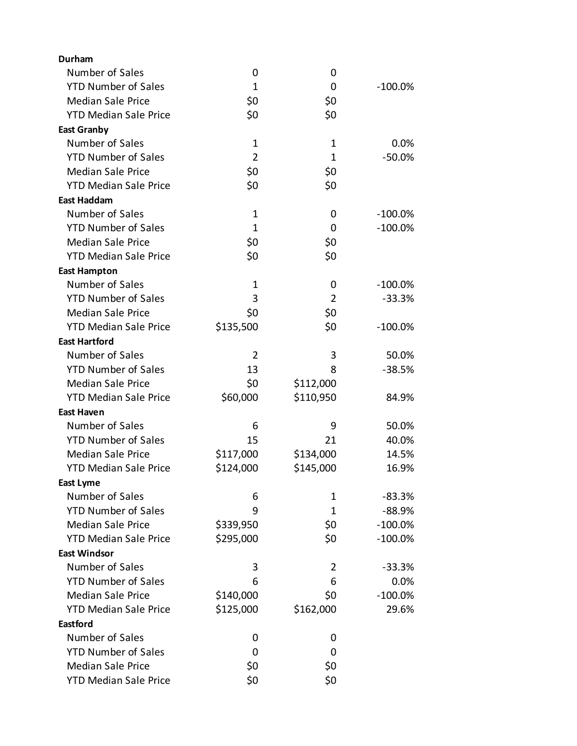| <b>Durham</b>                |                |             |            |
|------------------------------|----------------|-------------|------------|
| Number of Sales              | 0              | 0           |            |
| <b>YTD Number of Sales</b>   | $\mathbf{1}$   | 0           | $-100.0%$  |
| <b>Median Sale Price</b>     | \$0            | \$0         |            |
| <b>YTD Median Sale Price</b> | \$0            | \$0         |            |
| <b>East Granby</b>           |                |             |            |
| Number of Sales              | $\mathbf 1$    | 1           | 0.0%       |
| <b>YTD Number of Sales</b>   | $\overline{2}$ | $\mathbf 1$ | $-50.0%$   |
| <b>Median Sale Price</b>     | \$0            | \$0         |            |
| <b>YTD Median Sale Price</b> | \$0            | \$0         |            |
| <b>East Haddam</b>           |                |             |            |
| Number of Sales              | $\mathbf 1$    | 0           | $-100.0%$  |
| <b>YTD Number of Sales</b>   | $\mathbf{1}$   | 0           | $-100.0%$  |
| <b>Median Sale Price</b>     | \$0            | \$0         |            |
| <b>YTD Median Sale Price</b> | \$0            | \$0         |            |
| <b>East Hampton</b>          |                |             |            |
| Number of Sales              | $\mathbf 1$    | 0           | $-100.0\%$ |
| <b>YTD Number of Sales</b>   | 3              | 2           | $-33.3%$   |
| <b>Median Sale Price</b>     | \$0            | \$0         |            |
| <b>YTD Median Sale Price</b> | \$135,500      | \$0         | $-100.0%$  |
| <b>East Hartford</b>         |                |             |            |
| Number of Sales              | 2              | 3           | 50.0%      |
| <b>YTD Number of Sales</b>   | 13             | 8           | $-38.5%$   |
| <b>Median Sale Price</b>     | \$0            | \$112,000   |            |
| <b>YTD Median Sale Price</b> | \$60,000       | \$110,950   | 84.9%      |
| <b>East Haven</b>            |                |             |            |
| Number of Sales              | 6              | 9           | 50.0%      |
| <b>YTD Number of Sales</b>   | 15             | 21          | 40.0%      |
| <b>Median Sale Price</b>     | \$117,000      | \$134,000   | 14.5%      |
| <b>YTD Median Sale Price</b> | \$124,000      | \$145,000   | 16.9%      |
| <b>East Lyme</b>             |                |             |            |
| Number of Sales              | 6              | 1           | $-83.3%$   |
| <b>YTD Number of Sales</b>   | 9              | 1           | $-88.9%$   |
| <b>Median Sale Price</b>     | \$339,950      | \$0         | $-100.0%$  |
| <b>YTD Median Sale Price</b> | \$295,000      | \$0         | $-100.0%$  |
| <b>East Windsor</b>          |                |             |            |
| Number of Sales              | 3              | 2           | $-33.3%$   |
| <b>YTD Number of Sales</b>   | 6              | 6           | 0.0%       |
| <b>Median Sale Price</b>     | \$140,000      | \$0         | $-100.0%$  |
| <b>YTD Median Sale Price</b> | \$125,000      | \$162,000   | 29.6%      |
| Eastford                     |                |             |            |
| Number of Sales              | 0              | 0           |            |
| <b>YTD Number of Sales</b>   | 0              | 0           |            |
| <b>Median Sale Price</b>     | \$0            | \$0         |            |
| <b>YTD Median Sale Price</b> | \$0            | \$0         |            |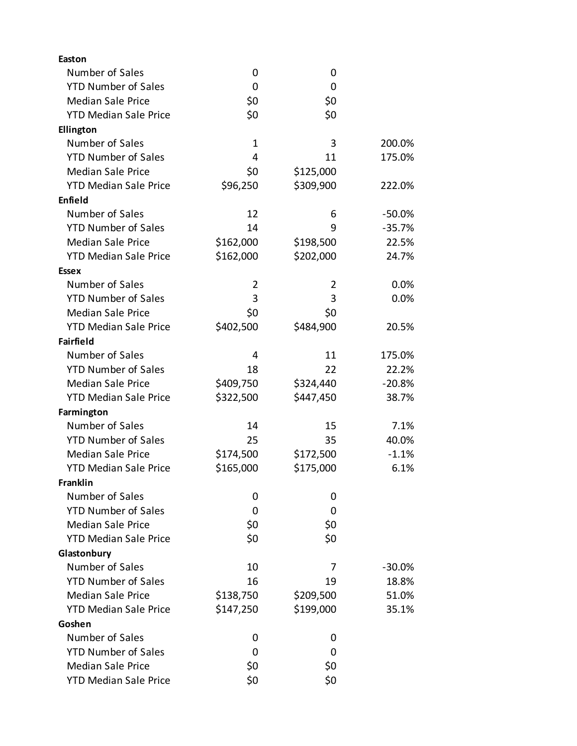| <b>Easton</b>                |              |           |           |
|------------------------------|--------------|-----------|-----------|
| Number of Sales              | 0            | 0         |           |
| <b>YTD Number of Sales</b>   | 0            | 0         |           |
| <b>Median Sale Price</b>     | \$0          | \$0       |           |
| <b>YTD Median Sale Price</b> | \$0          | \$0       |           |
| Ellington                    |              |           |           |
| Number of Sales              | $\mathbf{1}$ | 3         | 200.0%    |
| <b>YTD Number of Sales</b>   | 4            | 11        | 175.0%    |
| <b>Median Sale Price</b>     | \$0          | \$125,000 |           |
| <b>YTD Median Sale Price</b> | \$96,250     | \$309,900 | 222.0%    |
| Enfield                      |              |           |           |
| Number of Sales              | 12           | 6         | $-50.0%$  |
| <b>YTD Number of Sales</b>   | 14           | 9         | $-35.7%$  |
| <b>Median Sale Price</b>     | \$162,000    | \$198,500 | 22.5%     |
| <b>YTD Median Sale Price</b> | \$162,000    | \$202,000 | 24.7%     |
| <b>Essex</b>                 |              |           |           |
| Number of Sales              | 2            | 2         | 0.0%      |
| <b>YTD Number of Sales</b>   | 3            | 3         | 0.0%      |
| <b>Median Sale Price</b>     | \$0          | \$0       |           |
| <b>YTD Median Sale Price</b> | \$402,500    | \$484,900 | 20.5%     |
| <b>Fairfield</b>             |              |           |           |
| Number of Sales              | 4            | 11        | 175.0%    |
| <b>YTD Number of Sales</b>   | 18           | 22        | 22.2%     |
| <b>Median Sale Price</b>     | \$409,750    | \$324,440 | $-20.8%$  |
| <b>YTD Median Sale Price</b> | \$322,500    | \$447,450 | 38.7%     |
| Farmington                   |              |           |           |
| Number of Sales              | 14           | 15        | 7.1%      |
| <b>YTD Number of Sales</b>   | 25           | 35        | 40.0%     |
| <b>Median Sale Price</b>     | \$174,500    | \$172,500 | $-1.1%$   |
| <b>YTD Median Sale Price</b> | \$165,000    | \$175,000 | 6.1%      |
| <b>Franklin</b>              |              |           |           |
| Number of Sales              | 0            | 0         |           |
| <b>YTD Number of Sales</b>   | 0            | 0         |           |
| <b>Median Sale Price</b>     | \$0          | \$0       |           |
| <b>YTD Median Sale Price</b> | \$0          | \$0       |           |
| Glastonbury                  |              |           |           |
| Number of Sales              | 10           | 7         | $-30.0\%$ |
| <b>YTD Number of Sales</b>   | 16           | 19        | 18.8%     |
| <b>Median Sale Price</b>     | \$138,750    | \$209,500 | 51.0%     |
| <b>YTD Median Sale Price</b> | \$147,250    | \$199,000 | 35.1%     |
| Goshen                       |              |           |           |
| Number of Sales              | 0            | 0         |           |
| <b>YTD Number of Sales</b>   | 0            | 0         |           |
| <b>Median Sale Price</b>     | \$0          | \$0       |           |
| <b>YTD Median Sale Price</b> | \$0          | \$0       |           |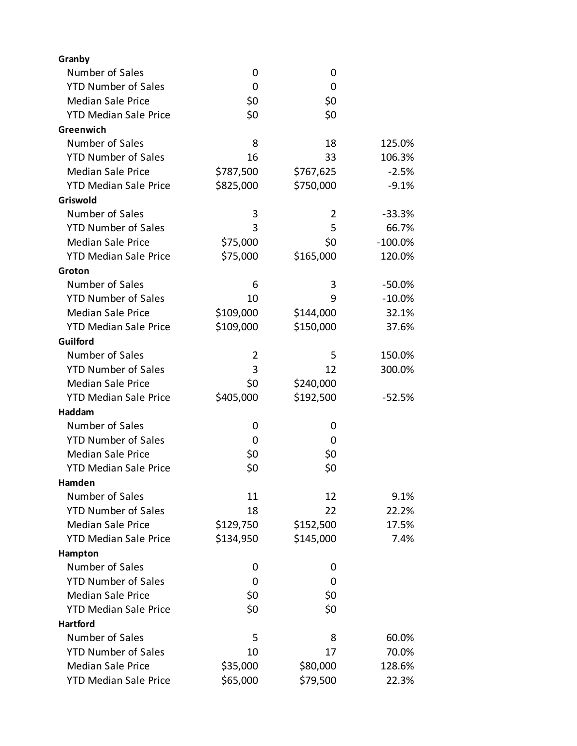| Granby                       |           |           |            |
|------------------------------|-----------|-----------|------------|
| Number of Sales              | 0         | 0         |            |
| <b>YTD Number of Sales</b>   | 0         | 0         |            |
| <b>Median Sale Price</b>     | \$0       | \$0       |            |
| <b>YTD Median Sale Price</b> | \$0       | \$0       |            |
| Greenwich                    |           |           |            |
| Number of Sales              | 8         | 18        | 125.0%     |
| <b>YTD Number of Sales</b>   | 16        | 33        | 106.3%     |
| <b>Median Sale Price</b>     | \$787,500 | \$767,625 | $-2.5%$    |
| <b>YTD Median Sale Price</b> | \$825,000 | \$750,000 | $-9.1%$    |
| Griswold                     |           |           |            |
| Number of Sales              | 3         | 2         | $-33.3%$   |
| <b>YTD Number of Sales</b>   | 3         | 5         | 66.7%      |
| <b>Median Sale Price</b>     | \$75,000  | \$0       | $-100.0\%$ |
| <b>YTD Median Sale Price</b> | \$75,000  | \$165,000 | 120.0%     |
| Groton                       |           |           |            |
| Number of Sales              | 6         | 3         | $-50.0%$   |
| <b>YTD Number of Sales</b>   | 10        | 9         | $-10.0\%$  |
| <b>Median Sale Price</b>     | \$109,000 | \$144,000 | 32.1%      |
| <b>YTD Median Sale Price</b> | \$109,000 | \$150,000 | 37.6%      |
| Guilford                     |           |           |            |
| Number of Sales              | 2         | 5         | 150.0%     |
| <b>YTD Number of Sales</b>   | 3         | 12        | 300.0%     |
| <b>Median Sale Price</b>     | \$0       | \$240,000 |            |
| <b>YTD Median Sale Price</b> | \$405,000 | \$192,500 | $-52.5%$   |
| Haddam                       |           |           |            |
| Number of Sales              | 0         | 0         |            |
| <b>YTD Number of Sales</b>   | 0         | 0         |            |
| <b>Median Sale Price</b>     | \$0       | \$0       |            |
| <b>YTD Median Sale Price</b> | \$0       | \$0       |            |
| Hamden                       |           |           |            |
| Number of Sales              | 11        | 12        | 9.1%       |
| <b>YTD Number of Sales</b>   | 18        | 22        | 22.2%      |
| <b>Median Sale Price</b>     | \$129,750 | \$152,500 | 17.5%      |
| <b>YTD Median Sale Price</b> | \$134,950 | \$145,000 | 7.4%       |
| Hampton                      |           |           |            |
| Number of Sales              | 0         | 0         |            |
| <b>YTD Number of Sales</b>   | 0         | 0         |            |
| <b>Median Sale Price</b>     | \$0       | \$0       |            |
| <b>YTD Median Sale Price</b> | \$0       | \$0       |            |
| <b>Hartford</b>              |           |           |            |
| Number of Sales              | 5         | 8         | 60.0%      |
| <b>YTD Number of Sales</b>   | 10        | 17        | 70.0%      |
| <b>Median Sale Price</b>     | \$35,000  | \$80,000  | 128.6%     |
| <b>YTD Median Sale Price</b> | \$65,000  | \$79,500  | 22.3%      |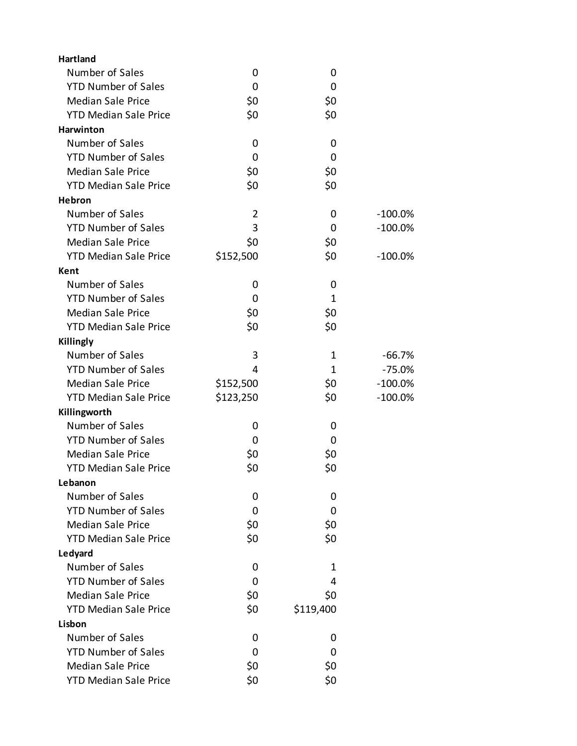| <b>Hartland</b>              |                |              |           |
|------------------------------|----------------|--------------|-----------|
| Number of Sales              | 0              | 0            |           |
| <b>YTD Number of Sales</b>   | 0              | 0            |           |
| <b>Median Sale Price</b>     | \$0            | \$0          |           |
| <b>YTD Median Sale Price</b> | \$0            | \$0          |           |
| Harwinton                    |                |              |           |
| Number of Sales              | 0              | 0            |           |
| <b>YTD Number of Sales</b>   | 0              | 0            |           |
| <b>Median Sale Price</b>     | \$0            | \$0          |           |
| <b>YTD Median Sale Price</b> | \$0            | \$0          |           |
| <b>Hebron</b>                |                |              |           |
| Number of Sales              | $\overline{2}$ | 0            | $-100.0%$ |
| <b>YTD Number of Sales</b>   | 3              | 0            | $-100.0%$ |
| <b>Median Sale Price</b>     | \$0            | \$0          |           |
| <b>YTD Median Sale Price</b> | \$152,500      | \$0          | $-100.0%$ |
| Kent                         |                |              |           |
| Number of Sales              | 0              | 0            |           |
| <b>YTD Number of Sales</b>   | 0              | $\mathbf{1}$ |           |
| <b>Median Sale Price</b>     | \$0            | \$0          |           |
| <b>YTD Median Sale Price</b> | \$0            | \$0          |           |
| Killingly                    |                |              |           |
| Number of Sales              | 3              | 1            | $-66.7%$  |
| <b>YTD Number of Sales</b>   | 4              | 1            | $-75.0%$  |
| <b>Median Sale Price</b>     | \$152,500      | \$0          | $-100.0%$ |
| <b>YTD Median Sale Price</b> | \$123,250      | \$0          | $-100.0%$ |
| Killingworth                 |                |              |           |
| Number of Sales              | 0              | 0            |           |
| <b>YTD Number of Sales</b>   | 0              | 0            |           |
| <b>Median Sale Price</b>     | \$0            | \$0          |           |
| <b>YTD Median Sale Price</b> | \$0            | \$0          |           |
| Lebanon                      |                |              |           |
| Number of Sales              | 0              | 0            |           |
| <b>YTD Number of Sales</b>   | 0              | 0            |           |
| <b>Median Sale Price</b>     | \$0            | \$0          |           |
| <b>YTD Median Sale Price</b> | \$0            | \$0          |           |
| Ledyard                      |                |              |           |
| Number of Sales              | 0              | 1            |           |
| <b>YTD Number of Sales</b>   | 0              | 4            |           |
| <b>Median Sale Price</b>     | \$0            | \$0          |           |
| <b>YTD Median Sale Price</b> | \$0            | \$119,400    |           |
| Lisbon                       |                |              |           |
| Number of Sales              | 0              | 0            |           |
| <b>YTD Number of Sales</b>   | 0              | 0            |           |
| <b>Median Sale Price</b>     | \$0            | \$0          |           |
| <b>YTD Median Sale Price</b> | \$0            | \$0          |           |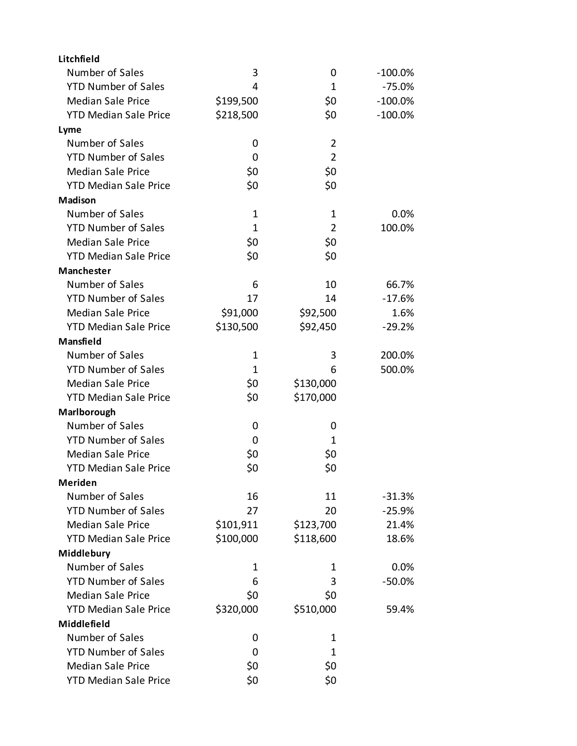| Litchfield                   |              |                |            |
|------------------------------|--------------|----------------|------------|
| Number of Sales              | 3            | 0              | $-100.0\%$ |
| <b>YTD Number of Sales</b>   | 4            | 1              | $-75.0%$   |
| <b>Median Sale Price</b>     | \$199,500    | \$0            | $-100.0\%$ |
| <b>YTD Median Sale Price</b> | \$218,500    | \$0            | $-100.0\%$ |
| Lyme                         |              |                |            |
| Number of Sales              | 0            | $\overline{2}$ |            |
| <b>YTD Number of Sales</b>   | 0            | $\overline{2}$ |            |
| <b>Median Sale Price</b>     | \$0          | \$0            |            |
| <b>YTD Median Sale Price</b> | \$0          | \$0            |            |
| Madison                      |              |                |            |
| Number of Sales              | $\mathbf 1$  | 1              | 0.0%       |
| <b>YTD Number of Sales</b>   | $\mathbf{1}$ | $\overline{2}$ | 100.0%     |
| <b>Median Sale Price</b>     | \$0          | \$0            |            |
| <b>YTD Median Sale Price</b> | \$0          | \$0            |            |
| Manchester                   |              |                |            |
| Number of Sales              | 6            | 10             | 66.7%      |
| <b>YTD Number of Sales</b>   | 17           | 14             | $-17.6%$   |
| <b>Median Sale Price</b>     | \$91,000     | \$92,500       | 1.6%       |
| <b>YTD Median Sale Price</b> | \$130,500    | \$92,450       | $-29.2%$   |
| Mansfield                    |              |                |            |
| Number of Sales              | 1            | 3              | 200.0%     |
| <b>YTD Number of Sales</b>   | 1            | 6              | 500.0%     |
| <b>Median Sale Price</b>     | \$0          | \$130,000      |            |
| <b>YTD Median Sale Price</b> | \$0          | \$170,000      |            |
| Marlborough                  |              |                |            |
| Number of Sales              | 0            | 0              |            |
| <b>YTD Number of Sales</b>   | 0            | 1              |            |
| <b>Median Sale Price</b>     | \$0          | \$0            |            |
| <b>YTD Median Sale Price</b> | \$0          | \$0            |            |
| <b>Meriden</b>               |              |                |            |
| Number of Sales              | 16           | 11             | $-31.3%$   |
| <b>YTD Number of Sales</b>   | 27           | 20             | $-25.9%$   |
| <b>Median Sale Price</b>     | \$101,911    | \$123,700      | 21.4%      |
| <b>YTD Median Sale Price</b> | \$100,000    | \$118,600      | 18.6%      |
| Middlebury                   |              |                |            |
| Number of Sales              | 1            | 1              | 0.0%       |
| <b>YTD Number of Sales</b>   | 6            | 3              | $-50.0%$   |
| <b>Median Sale Price</b>     | \$0          | \$0            |            |
| <b>YTD Median Sale Price</b> | \$320,000    | \$510,000      | 59.4%      |
| Middlefield                  |              |                |            |
| Number of Sales              | 0            | 1              |            |
| <b>YTD Number of Sales</b>   | 0            | 1              |            |
| <b>Median Sale Price</b>     | \$0          | \$0            |            |
| <b>YTD Median Sale Price</b> | \$0          | \$0            |            |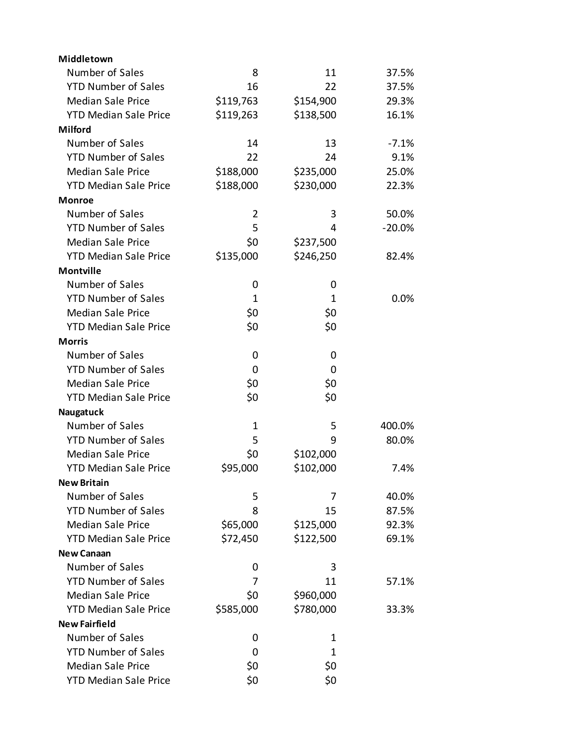| Middletown                   |             |           |           |
|------------------------------|-------------|-----------|-----------|
| Number of Sales              | 8           | 11        | 37.5%     |
| <b>YTD Number of Sales</b>   | 16          | 22        | 37.5%     |
| <b>Median Sale Price</b>     | \$119,763   | \$154,900 | 29.3%     |
| <b>YTD Median Sale Price</b> | \$119,263   | \$138,500 | 16.1%     |
| <b>Milford</b>               |             |           |           |
| Number of Sales              | 14          | 13        | $-7.1%$   |
| <b>YTD Number of Sales</b>   | 22          | 24        | 9.1%      |
| <b>Median Sale Price</b>     | \$188,000   | \$235,000 | 25.0%     |
| <b>YTD Median Sale Price</b> | \$188,000   | \$230,000 | 22.3%     |
| <b>Monroe</b>                |             |           |           |
| Number of Sales              | 2           | 3         | 50.0%     |
| <b>YTD Number of Sales</b>   | 5           | 4         | $-20.0\%$ |
| <b>Median Sale Price</b>     | \$0         | \$237,500 |           |
| <b>YTD Median Sale Price</b> | \$135,000   | \$246,250 | 82.4%     |
| <b>Montville</b>             |             |           |           |
| Number of Sales              | 0           | 0         |           |
| <b>YTD Number of Sales</b>   | 1           | 1         | 0.0%      |
| <b>Median Sale Price</b>     | \$0         | \$0       |           |
| <b>YTD Median Sale Price</b> | \$0         | \$0       |           |
| <b>Morris</b>                |             |           |           |
| Number of Sales              | 0           | 0         |           |
| <b>YTD Number of Sales</b>   | 0           | 0         |           |
| <b>Median Sale Price</b>     | \$0         | \$0       |           |
| <b>YTD Median Sale Price</b> | \$0         | \$0       |           |
| Naugatuck                    |             |           |           |
| Number of Sales              | $\mathbf 1$ | 5         | 400.0%    |
| <b>YTD Number of Sales</b>   | 5           | 9         | 80.0%     |
| <b>Median Sale Price</b>     | \$0         | \$102,000 |           |
| <b>YTD Median Sale Price</b> | \$95,000    | \$102,000 | 7.4%      |
| <b>New Britain</b>           |             |           |           |
| Number of Sales              | 5           | 7         | 40.0%     |
| <b>YTD Number of Sales</b>   | 8           | 15        | 87.5%     |
| <b>Median Sale Price</b>     | \$65,000    | \$125,000 | 92.3%     |
| <b>YTD Median Sale Price</b> | \$72,450    | \$122,500 | 69.1%     |
| <b>New Canaan</b>            |             |           |           |
| Number of Sales              | 0           | 3         |           |
| <b>YTD Number of Sales</b>   | 7           | 11        | 57.1%     |
| <b>Median Sale Price</b>     | \$0         | \$960,000 |           |
| <b>YTD Median Sale Price</b> | \$585,000   | \$780,000 | 33.3%     |
| <b>New Fairfield</b>         |             |           |           |
| Number of Sales              | 0           | 1         |           |
| <b>YTD Number of Sales</b>   | 0           | 1         |           |
| <b>Median Sale Price</b>     | \$0         | \$0       |           |
| <b>YTD Median Sale Price</b> | \$0         | \$0       |           |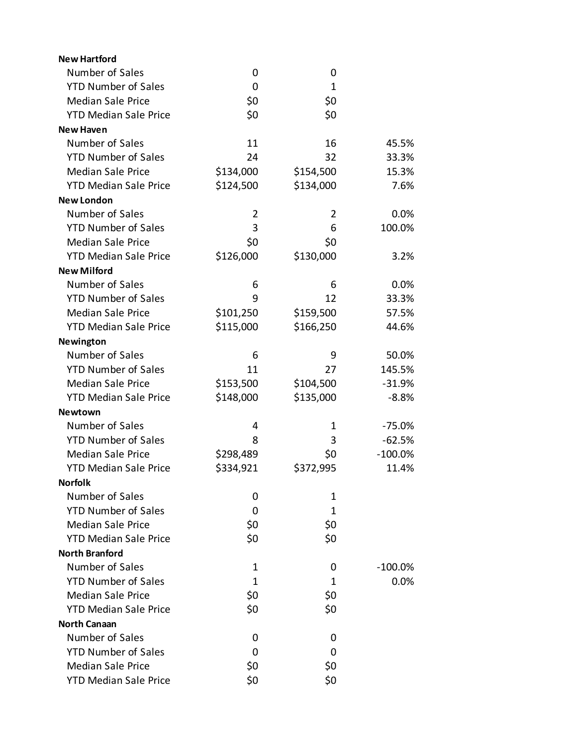| <b>New Hartford</b>          |           |                |            |
|------------------------------|-----------|----------------|------------|
| Number of Sales              | 0         | 0              |            |
| <b>YTD Number of Sales</b>   | 0         | $\mathbf 1$    |            |
| <b>Median Sale Price</b>     | \$0       | \$0            |            |
| <b>YTD Median Sale Price</b> | \$0       | \$0            |            |
| <b>New Haven</b>             |           |                |            |
| Number of Sales              | 11        | 16             | 45.5%      |
| <b>YTD Number of Sales</b>   | 24        | 32             | 33.3%      |
| <b>Median Sale Price</b>     | \$134,000 | \$154,500      | 15.3%      |
| <b>YTD Median Sale Price</b> | \$124,500 | \$134,000      | 7.6%       |
| <b>New London</b>            |           |                |            |
| Number of Sales              | 2         | $\overline{2}$ | 0.0%       |
| <b>YTD Number of Sales</b>   | 3         | 6              | 100.0%     |
| <b>Median Sale Price</b>     | \$0       | \$0            |            |
| <b>YTD Median Sale Price</b> | \$126,000 | \$130,000      | 3.2%       |
| <b>New Milford</b>           |           |                |            |
| Number of Sales              | 6         | 6              | 0.0%       |
| <b>YTD Number of Sales</b>   | 9         | 12             | 33.3%      |
| <b>Median Sale Price</b>     | \$101,250 | \$159,500      | 57.5%      |
| <b>YTD Median Sale Price</b> | \$115,000 | \$166,250      | 44.6%      |
| Newington                    |           |                |            |
| Number of Sales              | 6         | 9              | 50.0%      |
| <b>YTD Number of Sales</b>   | 11        | 27             | 145.5%     |
| <b>Median Sale Price</b>     | \$153,500 | \$104,500      | $-31.9%$   |
| <b>YTD Median Sale Price</b> | \$148,000 | \$135,000      | $-8.8%$    |
| <b>Newtown</b>               |           |                |            |
| Number of Sales              | 4         | 1              | $-75.0%$   |
| <b>YTD Number of Sales</b>   | 8         | 3              | $-62.5%$   |
| <b>Median Sale Price</b>     | \$298,489 | \$0            | $-100.0%$  |
| <b>YTD Median Sale Price</b> | \$334,921 | \$372,995      | 11.4%      |
| <b>Norfolk</b>               |           |                |            |
| Number of Sales              | 0         | 1              |            |
| <b>YTD Number of Sales</b>   | 0         | 1              |            |
| <b>Median Sale Price</b>     | \$0       | \$0            |            |
| <b>YTD Median Sale Price</b> | \$0       | \$0            |            |
| <b>North Branford</b>        |           |                |            |
| Number of Sales              | 1         | 0              | $-100.0\%$ |
| <b>YTD Number of Sales</b>   | 1         | 1              | 0.0%       |
| <b>Median Sale Price</b>     | \$0       | \$0            |            |
| <b>YTD Median Sale Price</b> | \$0       | \$0            |            |
| <b>North Canaan</b>          |           |                |            |
| Number of Sales              | 0         | 0              |            |
| <b>YTD Number of Sales</b>   | 0         | 0              |            |
| <b>Median Sale Price</b>     | \$0       | \$0            |            |
| <b>YTD Median Sale Price</b> | \$0       | \$0            |            |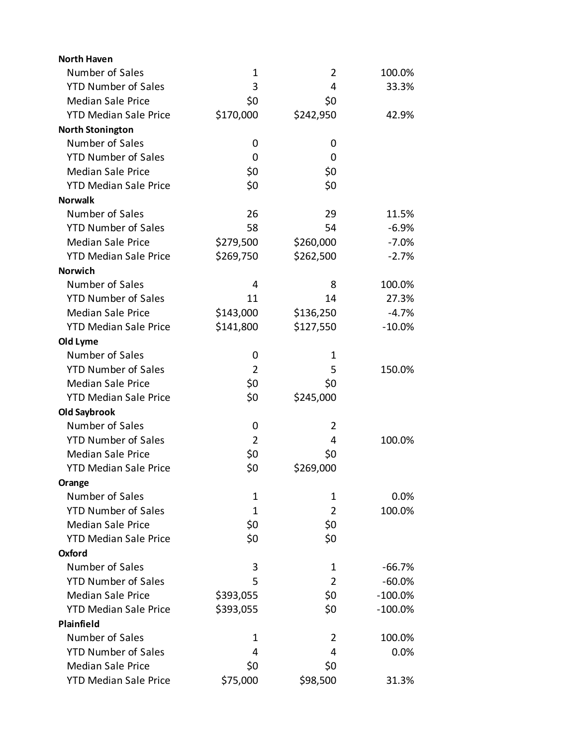| <b>North Haven</b>           |                |                |            |
|------------------------------|----------------|----------------|------------|
| Number of Sales              | 1              | $\overline{2}$ | 100.0%     |
| <b>YTD Number of Sales</b>   | 3              | 4              | 33.3%      |
| <b>Median Sale Price</b>     | \$0            | \$0            |            |
| <b>YTD Median Sale Price</b> | \$170,000      | \$242,950      | 42.9%      |
| <b>North Stonington</b>      |                |                |            |
| Number of Sales              | 0              | 0              |            |
| <b>YTD Number of Sales</b>   | 0              | 0              |            |
| <b>Median Sale Price</b>     | \$0            | \$0            |            |
| <b>YTD Median Sale Price</b> | \$0            | \$0            |            |
| <b>Norwalk</b>               |                |                |            |
| Number of Sales              | 26             | 29             | 11.5%      |
| <b>YTD Number of Sales</b>   | 58             | 54             | $-6.9%$    |
| <b>Median Sale Price</b>     | \$279,500      | \$260,000      | $-7.0%$    |
| <b>YTD Median Sale Price</b> | \$269,750      | \$262,500      | $-2.7%$    |
| <b>Norwich</b>               |                |                |            |
| Number of Sales              | 4              | 8              | 100.0%     |
| <b>YTD Number of Sales</b>   | 11             | 14             | 27.3%      |
| <b>Median Sale Price</b>     | \$143,000      | \$136,250      | $-4.7%$    |
| <b>YTD Median Sale Price</b> | \$141,800      | \$127,550      | $-10.0%$   |
| Old Lyme                     |                |                |            |
| Number of Sales              | 0              | 1              |            |
| <b>YTD Number of Sales</b>   | $\overline{2}$ | 5              | 150.0%     |
| <b>Median Sale Price</b>     | \$0            | \$0            |            |
| <b>YTD Median Sale Price</b> | \$0            | \$245,000      |            |
| <b>Old Saybrook</b>          |                |                |            |
| Number of Sales              | 0              | $\overline{2}$ |            |
| <b>YTD Number of Sales</b>   | $\overline{2}$ | 4              | 100.0%     |
| <b>Median Sale Price</b>     | \$0            | \$0            |            |
| <b>YTD Median Sale Price</b> | \$0            | \$269,000      |            |
| Orange                       |                |                |            |
| Number of Sales              | 1              | 1              | 0.0%       |
| <b>YTD Number of Sales</b>   | 1              | $\overline{2}$ | 100.0%     |
| <b>Median Sale Price</b>     | \$0            | \$0            |            |
| <b>YTD Median Sale Price</b> | \$0            | \$0            |            |
| Oxford                       |                |                |            |
| Number of Sales              | 3              | 1              | $-66.7%$   |
| <b>YTD Number of Sales</b>   | 5              | $\overline{2}$ | $-60.0%$   |
| <b>Median Sale Price</b>     | \$393,055      | \$0            | $-100.0%$  |
| <b>YTD Median Sale Price</b> | \$393,055      | \$0            | $-100.0\%$ |
| Plainfield                   |                |                |            |
| Number of Sales              | 1              | 2              | 100.0%     |
| <b>YTD Number of Sales</b>   | 4              | 4              | 0.0%       |
| <b>Median Sale Price</b>     | \$0            | \$0            |            |
| <b>YTD Median Sale Price</b> | \$75,000       | \$98,500       | 31.3%      |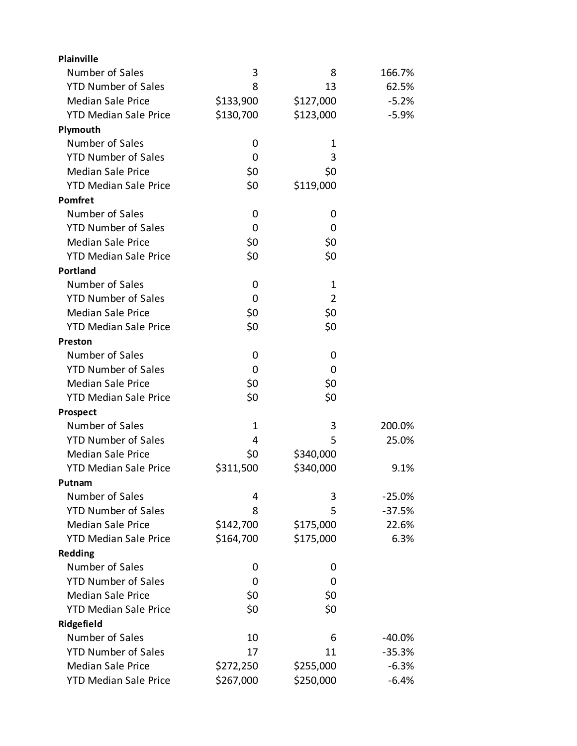| Plainville                   |           |                |          |
|------------------------------|-----------|----------------|----------|
| Number of Sales              | 3         | 8              | 166.7%   |
| <b>YTD Number of Sales</b>   | 8         | 13             | 62.5%    |
| <b>Median Sale Price</b>     | \$133,900 | \$127,000      | $-5.2%$  |
| <b>YTD Median Sale Price</b> | \$130,700 | \$123,000      | $-5.9%$  |
| Plymouth                     |           |                |          |
| Number of Sales              | 0         | 1              |          |
| <b>YTD Number of Sales</b>   | 0         | 3              |          |
| <b>Median Sale Price</b>     | \$0       | \$0            |          |
| <b>YTD Median Sale Price</b> | \$0       | \$119,000      |          |
| Pomfret                      |           |                |          |
| Number of Sales              | 0         | 0              |          |
| <b>YTD Number of Sales</b>   | 0         | 0              |          |
| <b>Median Sale Price</b>     | \$0       | \$0            |          |
| <b>YTD Median Sale Price</b> | \$0       | \$0            |          |
| <b>Portland</b>              |           |                |          |
| Number of Sales              | 0         | 1              |          |
| <b>YTD Number of Sales</b>   | 0         | $\overline{2}$ |          |
| <b>Median Sale Price</b>     | \$0       | \$0            |          |
| <b>YTD Median Sale Price</b> | \$0       | \$0            |          |
| Preston                      |           |                |          |
| Number of Sales              | 0         | 0              |          |
| <b>YTD Number of Sales</b>   | 0         | 0              |          |
| <b>Median Sale Price</b>     | \$0       | \$0            |          |
| <b>YTD Median Sale Price</b> | \$0       | \$0            |          |
| Prospect                     |           |                |          |
| Number of Sales              | 1         | 3              | 200.0%   |
| <b>YTD Number of Sales</b>   | 4         | 5              | 25.0%    |
| <b>Median Sale Price</b>     | \$0       | \$340,000      |          |
| <b>YTD Median Sale Price</b> | \$311,500 | \$340,000      | 9.1%     |
| Putnam                       |           |                |          |
| Number of Sales              | 4         | 3              | $-25.0%$ |
| <b>YTD Number of Sales</b>   | 8         | 5              | $-37.5%$ |
| <b>Median Sale Price</b>     | \$142,700 | \$175,000      | 22.6%    |
| <b>YTD Median Sale Price</b> | \$164,700 | \$175,000      | 6.3%     |
| <b>Redding</b>               |           |                |          |
| Number of Sales              | 0         | 0              |          |
| <b>YTD Number of Sales</b>   | 0         | 0              |          |
| <b>Median Sale Price</b>     | \$0       | \$0            |          |
| <b>YTD Median Sale Price</b> | \$0       | \$0            |          |
| Ridgefield                   |           |                |          |
| Number of Sales              | 10        | 6              | $-40.0%$ |
| <b>YTD Number of Sales</b>   | 17        | 11             | $-35.3%$ |
| <b>Median Sale Price</b>     | \$272,250 | \$255,000      | $-6.3%$  |
| <b>YTD Median Sale Price</b> | \$267,000 | \$250,000      | $-6.4%$  |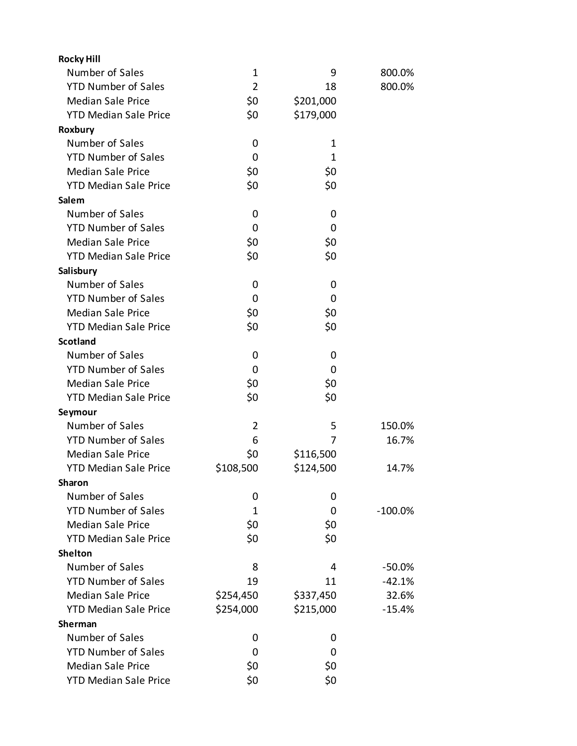| <b>Rocky Hill</b>            |                |                |            |
|------------------------------|----------------|----------------|------------|
| Number of Sales              | 1              | 9              | 800.0%     |
| <b>YTD Number of Sales</b>   | $\overline{2}$ | 18             | 800.0%     |
| <b>Median Sale Price</b>     | \$0            | \$201,000      |            |
| <b>YTD Median Sale Price</b> | \$0            | \$179,000      |            |
| Roxbury                      |                |                |            |
| Number of Sales              | 0              | $\mathbf 1$    |            |
| <b>YTD Number of Sales</b>   | 0              | 1              |            |
| <b>Median Sale Price</b>     | \$0            | \$0            |            |
| <b>YTD Median Sale Price</b> | \$0            | \$0            |            |
| Salem                        |                |                |            |
| Number of Sales              | 0              | 0              |            |
| <b>YTD Number of Sales</b>   | 0              | $\overline{0}$ |            |
| <b>Median Sale Price</b>     | \$0            | \$0            |            |
| <b>YTD Median Sale Price</b> | \$0            | \$0            |            |
| Salisbury                    |                |                |            |
| Number of Sales              | 0              | 0              |            |
| <b>YTD Number of Sales</b>   | 0              | 0              |            |
| <b>Median Sale Price</b>     | \$0            | \$0            |            |
| <b>YTD Median Sale Price</b> | \$0            | \$0            |            |
| <b>Scotland</b>              |                |                |            |
| Number of Sales              | 0              | 0              |            |
| <b>YTD Number of Sales</b>   | 0              | 0              |            |
| <b>Median Sale Price</b>     | \$0            | \$0            |            |
| <b>YTD Median Sale Price</b> | \$0            | \$0            |            |
| Seymour                      |                |                |            |
| Number of Sales              | 2              | 5              | 150.0%     |
| <b>YTD Number of Sales</b>   | 6              | 7              | 16.7%      |
| <b>Median Sale Price</b>     | \$0            | \$116,500      |            |
| <b>YTD Median Sale Price</b> | \$108,500      | \$124,500      | 14.7%      |
| <b>Sharon</b>                |                |                |            |
| Number of Sales              | 0              | 0              |            |
| <b>YTD Number of Sales</b>   | 1              | 0              | $-100.0\%$ |
| <b>Median Sale Price</b>     | \$0            | \$0            |            |
| <b>YTD Median Sale Price</b> | \$0            | \$0            |            |
| <b>Shelton</b>               |                |                |            |
| Number of Sales              | 8              | 4              | $-50.0%$   |
| <b>YTD Number of Sales</b>   | 19             | 11             | $-42.1%$   |
| <b>Median Sale Price</b>     | \$254,450      | \$337,450      | 32.6%      |
| <b>YTD Median Sale Price</b> | \$254,000      | \$215,000      | $-15.4%$   |
| <b>Sherman</b>               |                |                |            |
| Number of Sales              | 0              | 0              |            |
| <b>YTD Number of Sales</b>   | 0              | 0              |            |
| <b>Median Sale Price</b>     | \$0            | \$0            |            |
| <b>YTD Median Sale Price</b> | \$0            | \$0            |            |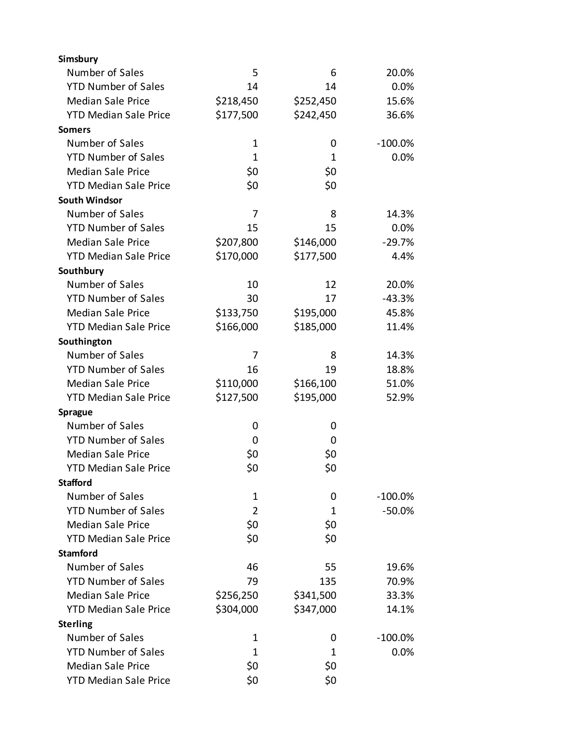| Simsbury                     |                |              |            |
|------------------------------|----------------|--------------|------------|
| Number of Sales              | 5              | 6            | 20.0%      |
| <b>YTD Number of Sales</b>   | 14             | 14           | 0.0%       |
| <b>Median Sale Price</b>     | \$218,450      | \$252,450    | 15.6%      |
| <b>YTD Median Sale Price</b> | \$177,500      | \$242,450    | 36.6%      |
| <b>Somers</b>                |                |              |            |
| Number of Sales              | $\mathbf 1$    | 0            | $-100.0\%$ |
| <b>YTD Number of Sales</b>   | $\mathbf{1}$   | $\mathbf{1}$ | 0.0%       |
| <b>Median Sale Price</b>     | \$0            | \$0          |            |
| <b>YTD Median Sale Price</b> | \$0            | \$0          |            |
| <b>South Windsor</b>         |                |              |            |
| Number of Sales              | 7              | 8            | 14.3%      |
| <b>YTD Number of Sales</b>   | 15             | 15           | 0.0%       |
| <b>Median Sale Price</b>     | \$207,800      | \$146,000    | $-29.7%$   |
| <b>YTD Median Sale Price</b> | \$170,000      | \$177,500    | 4.4%       |
| Southbury                    |                |              |            |
| Number of Sales              | 10             | 12           | 20.0%      |
| <b>YTD Number of Sales</b>   | 30             | 17           | $-43.3%$   |
| <b>Median Sale Price</b>     | \$133,750      | \$195,000    | 45.8%      |
| <b>YTD Median Sale Price</b> | \$166,000      | \$185,000    | 11.4%      |
| Southington                  |                |              |            |
| Number of Sales              | 7              | 8            | 14.3%      |
| <b>YTD Number of Sales</b>   | 16             | 19           | 18.8%      |
| <b>Median Sale Price</b>     | \$110,000      | \$166,100    | 51.0%      |
| <b>YTD Median Sale Price</b> | \$127,500      | \$195,000    | 52.9%      |
| <b>Sprague</b>               |                |              |            |
| Number of Sales              | 0              | 0            |            |
| <b>YTD Number of Sales</b>   | 0              | 0            |            |
| <b>Median Sale Price</b>     | \$0            | \$0          |            |
| <b>YTD Median Sale Price</b> | \$0            | \$0          |            |
| <b>Stafford</b>              |                |              |            |
| Number of Sales              | $\mathbf{1}$   | 0            | $-100.0\%$ |
| <b>YTD Number of Sales</b>   | $\overline{2}$ | 1            | $-50.0%$   |
| <b>Median Sale Price</b>     | \$0            | \$0          |            |
| <b>YTD Median Sale Price</b> | \$0            | \$0          |            |
| <b>Stamford</b>              |                |              |            |
| Number of Sales              | 46             | 55           | 19.6%      |
| <b>YTD Number of Sales</b>   | 79             | 135          | 70.9%      |
| <b>Median Sale Price</b>     | \$256,250      | \$341,500    | 33.3%      |
| <b>YTD Median Sale Price</b> | \$304,000      | \$347,000    | 14.1%      |
| <b>Sterling</b>              |                |              |            |
| Number of Sales              | $\mathbf{1}$   | 0            | $-100.0\%$ |
| <b>YTD Number of Sales</b>   | 1              | 1            | 0.0%       |
| <b>Median Sale Price</b>     | \$0            | \$0          |            |
| <b>YTD Median Sale Price</b> | \$0            | \$0          |            |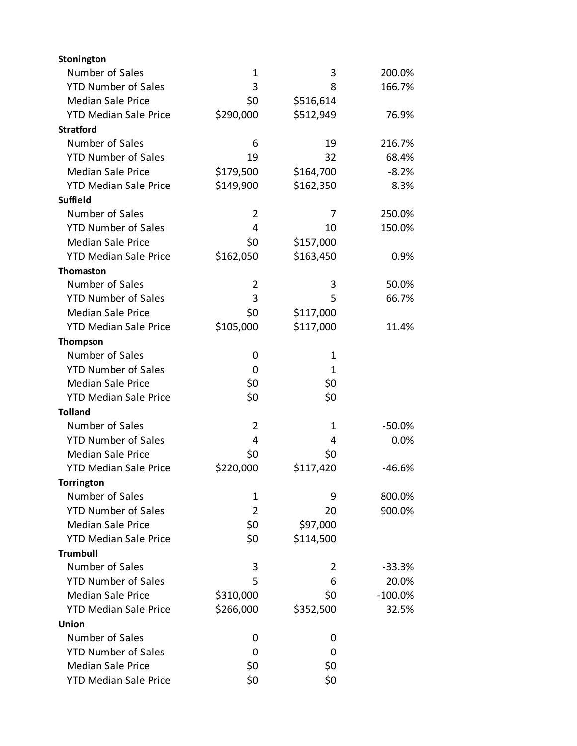| Stonington                   |                |              |           |
|------------------------------|----------------|--------------|-----------|
| Number of Sales              | 1              | 3            | 200.0%    |
| <b>YTD Number of Sales</b>   | 3              | 8            | 166.7%    |
| <b>Median Sale Price</b>     | \$0            | \$516,614    |           |
| <b>YTD Median Sale Price</b> | \$290,000      | \$512,949    | 76.9%     |
| <b>Stratford</b>             |                |              |           |
| Number of Sales              | 6              | 19           | 216.7%    |
| <b>YTD Number of Sales</b>   | 19             | 32           | 68.4%     |
| <b>Median Sale Price</b>     | \$179,500      | \$164,700    | $-8.2%$   |
| <b>YTD Median Sale Price</b> | \$149,900      | \$162,350    | 8.3%      |
| <b>Suffield</b>              |                |              |           |
| Number of Sales              | $\overline{2}$ | 7            | 250.0%    |
| <b>YTD Number of Sales</b>   | 4              | 10           | 150.0%    |
| <b>Median Sale Price</b>     | \$0            | \$157,000    |           |
| <b>YTD Median Sale Price</b> | \$162,050      | \$163,450    | 0.9%      |
| <b>Thomaston</b>             |                |              |           |
| Number of Sales              | $\overline{2}$ | 3            | 50.0%     |
| <b>YTD Number of Sales</b>   | 3              | 5            | 66.7%     |
| <b>Median Sale Price</b>     | \$0            | \$117,000    |           |
| <b>YTD Median Sale Price</b> | \$105,000      | \$117,000    | 11.4%     |
| Thompson                     |                |              |           |
| Number of Sales              | 0              | 1            |           |
| <b>YTD Number of Sales</b>   | 0              | $\mathbf{1}$ |           |
| <b>Median Sale Price</b>     | \$0            | \$0          |           |
| <b>YTD Median Sale Price</b> | \$0            | \$0          |           |
| <b>Tolland</b>               |                |              |           |
| Number of Sales              | 2              | 1            | $-50.0%$  |
| <b>YTD Number of Sales</b>   | 4              | 4            | 0.0%      |
| <b>Median Sale Price</b>     | \$0            | \$0          |           |
| <b>YTD Median Sale Price</b> | \$220,000      | \$117,420    | $-46.6%$  |
| <b>Torrington</b>            |                |              |           |
| Number of Sales              | 1              | 9            | 800.0%    |
| <b>YTD Number of Sales</b>   | $\overline{2}$ | 20           | 900.0%    |
| <b>Median Sale Price</b>     | \$0            | \$97,000     |           |
| <b>YTD Median Sale Price</b> | \$0            | \$114,500    |           |
| <b>Trumbull</b>              |                |              |           |
| Number of Sales              | 3              | 2            | $-33.3%$  |
| <b>YTD Number of Sales</b>   | 5              | 6            | 20.0%     |
| <b>Median Sale Price</b>     | \$310,000      | \$0          | $-100.0%$ |
| <b>YTD Median Sale Price</b> | \$266,000      | \$352,500    | 32.5%     |
| Union                        |                |              |           |
| Number of Sales              | 0              | 0            |           |
| <b>YTD Number of Sales</b>   | 0              | 0            |           |
| <b>Median Sale Price</b>     | \$0            | \$0          |           |
| <b>YTD Median Sale Price</b> | \$0            | \$0          |           |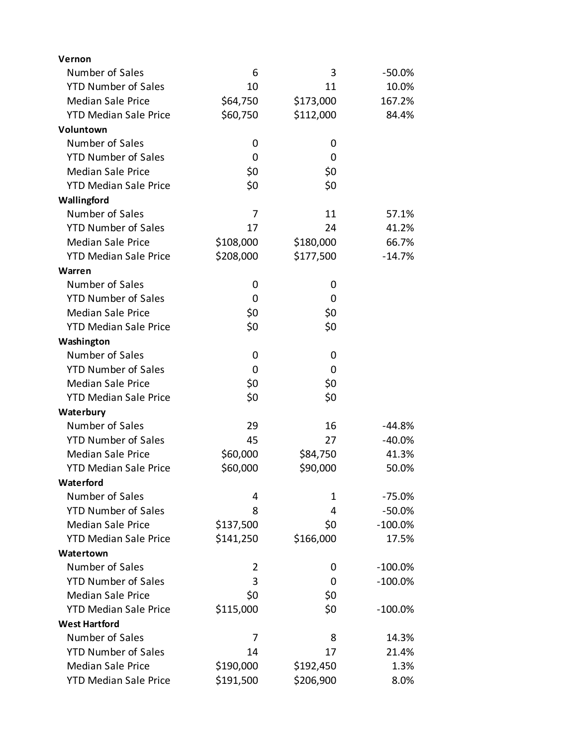| Vernon                       |           |           |           |
|------------------------------|-----------|-----------|-----------|
| Number of Sales              | 6         | 3         | -50.0%    |
| <b>YTD Number of Sales</b>   | 10        | 11        | 10.0%     |
| <b>Median Sale Price</b>     | \$64,750  | \$173,000 | 167.2%    |
| <b>YTD Median Sale Price</b> | \$60,750  | \$112,000 | 84.4%     |
| Voluntown                    |           |           |           |
| Number of Sales              | 0         | 0         |           |
| <b>YTD Number of Sales</b>   | 0         | 0         |           |
| <b>Median Sale Price</b>     | \$0       | \$0       |           |
| <b>YTD Median Sale Price</b> | \$0       | \$0       |           |
| Wallingford                  |           |           |           |
| Number of Sales              | 7         | 11        | 57.1%     |
| <b>YTD Number of Sales</b>   | 17        | 24        | 41.2%     |
| <b>Median Sale Price</b>     | \$108,000 | \$180,000 | 66.7%     |
| <b>YTD Median Sale Price</b> | \$208,000 | \$177,500 | $-14.7%$  |
| Warren                       |           |           |           |
| Number of Sales              | 0         | 0         |           |
| <b>YTD Number of Sales</b>   | 0         | 0         |           |
| <b>Median Sale Price</b>     | \$0       | \$0       |           |
| <b>YTD Median Sale Price</b> | \$0       | \$0       |           |
| Washington                   |           |           |           |
| Number of Sales              | 0         | 0         |           |
| <b>YTD Number of Sales</b>   | 0         | 0         |           |
| <b>Median Sale Price</b>     | \$0       | \$0       |           |
| <b>YTD Median Sale Price</b> | \$0       | \$0       |           |
| Waterbury                    |           |           |           |
| Number of Sales              | 29        | 16        | -44.8%    |
| <b>YTD Number of Sales</b>   | 45        | 27        | $-40.0%$  |
| <b>Median Sale Price</b>     | \$60,000  | \$84,750  | 41.3%     |
| <b>YTD Median Sale Price</b> | \$60,000  | \$90,000  | 50.0%     |
| Waterford                    |           |           |           |
| Number of Sales              | 4         | 1         | $-75.0%$  |
| <b>YTD Number of Sales</b>   | 8         | 4         | $-50.0%$  |
| <b>Median Sale Price</b>     | \$137,500 | \$0       | $-100.0%$ |
| <b>YTD Median Sale Price</b> | \$141,250 | \$166,000 | 17.5%     |
| Watertown                    |           |           |           |
| Number of Sales              | 2         | 0         | $-100.0%$ |
| <b>YTD Number of Sales</b>   | 3         | 0         | $-100.0%$ |
| <b>Median Sale Price</b>     | \$0       | \$0       |           |
| <b>YTD Median Sale Price</b> | \$115,000 | \$0       | $-100.0%$ |
| <b>West Hartford</b>         |           |           |           |
| Number of Sales              | 7         | 8         | 14.3%     |
| <b>YTD Number of Sales</b>   | 14        | 17        | 21.4%     |
| <b>Median Sale Price</b>     | \$190,000 | \$192,450 | 1.3%      |
| <b>YTD Median Sale Price</b> | \$191,500 | \$206,900 | 8.0%      |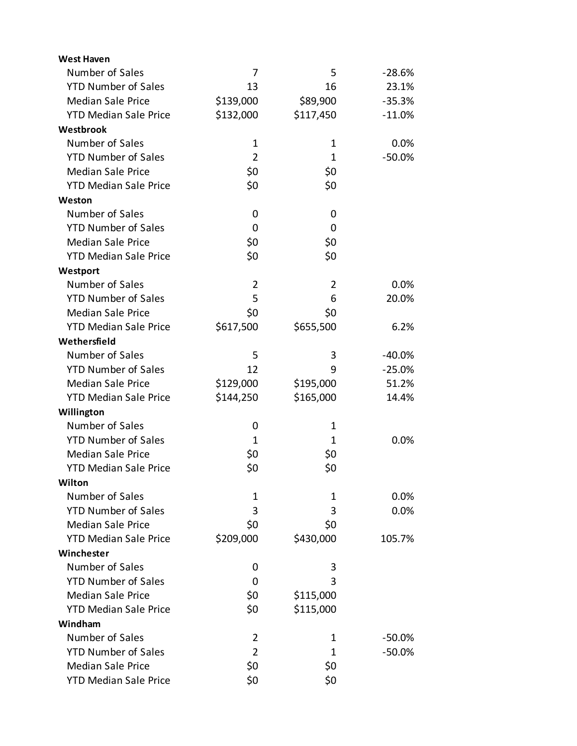| <b>West Haven</b>            |                |                |          |
|------------------------------|----------------|----------------|----------|
| Number of Sales              | 7              | 5              | $-28.6%$ |
| <b>YTD Number of Sales</b>   | 13             | 16             | 23.1%    |
| <b>Median Sale Price</b>     | \$139,000      | \$89,900       | $-35.3%$ |
| <b>YTD Median Sale Price</b> | \$132,000      | \$117,450      | $-11.0%$ |
| Westbrook                    |                |                |          |
| Number of Sales              | 1              | 1              | 0.0%     |
| <b>YTD Number of Sales</b>   | $\overline{2}$ | 1              | $-50.0%$ |
| <b>Median Sale Price</b>     | \$0            | \$0            |          |
| <b>YTD Median Sale Price</b> | \$0            | \$0            |          |
| Weston                       |                |                |          |
| Number of Sales              | 0              | 0              |          |
| <b>YTD Number of Sales</b>   | 0              | 0              |          |
| <b>Median Sale Price</b>     | \$0            | \$0            |          |
| <b>YTD Median Sale Price</b> | \$0            | \$0            |          |
| Westport                     |                |                |          |
| Number of Sales              | 2              | $\overline{2}$ | 0.0%     |
| <b>YTD Number of Sales</b>   | 5              | 6              | 20.0%    |
| <b>Median Sale Price</b>     | \$0            | \$0            |          |
| <b>YTD Median Sale Price</b> | \$617,500      | \$655,500      | 6.2%     |
| Wethersfield                 |                |                |          |
| Number of Sales              | 5              | 3              | $-40.0%$ |
| <b>YTD Number of Sales</b>   | 12             | 9              | $-25.0%$ |
| <b>Median Sale Price</b>     | \$129,000      | \$195,000      | 51.2%    |
| <b>YTD Median Sale Price</b> | \$144,250      | \$165,000      | 14.4%    |
| Willington                   |                |                |          |
| Number of Sales              | 0              | 1              |          |
| <b>YTD Number of Sales</b>   | 1              | 1              | 0.0%     |
| <b>Median Sale Price</b>     | \$0            | \$0            |          |
| <b>YTD Median Sale Price</b> | \$0            | \$0            |          |
| Wilton                       |                |                |          |
| Number of Sales              | 1              | 1              | 0.0%     |
| <b>YTD Number of Sales</b>   | 3              | 3              | 0.0%     |
| <b>Median Sale Price</b>     | \$0            | \$0            |          |
| <b>YTD Median Sale Price</b> | \$209,000      | \$430,000      | 105.7%   |
| Winchester                   |                |                |          |
| Number of Sales              | 0              | 3              |          |
| <b>YTD Number of Sales</b>   | 0              | 3              |          |
| <b>Median Sale Price</b>     | \$0            | \$115,000      |          |
| <b>YTD Median Sale Price</b> | \$0            | \$115,000      |          |
| Windham                      |                |                |          |
| Number of Sales              | 2              | 1              | $-50.0%$ |
| <b>YTD Number of Sales</b>   | $\overline{2}$ | 1              | $-50.0%$ |
| <b>Median Sale Price</b>     | \$0            | \$0            |          |
| <b>YTD Median Sale Price</b> | \$0            | \$0            |          |